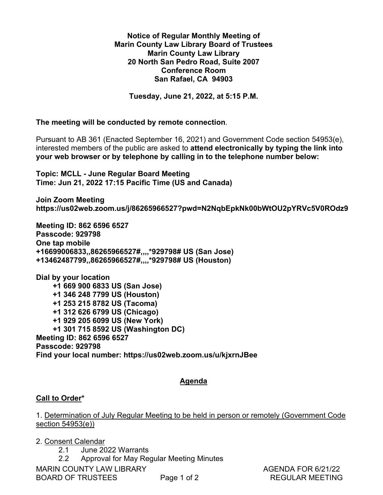#### **Notice of Regular Monthly Meeting of**  Notice of Regular Monthly Meeting of **Marin County Law Library Board of Trustees**  Marin County Law Library Board of Trustees **Marin County Law Library**  Marin County Law Library **20 North San Pedro Road, Suite 2007**  20 North San Pedro Road, Suite 2007 **Conference Room**  Conference Room **San Rafael, CA 94903**  San Rafael, CA 94903

**Tuesday, June 21, 2022, at 5:15 P.M.**  Tuesday, June 21, 2022, at 5:15 P.M.

**The meeting will be conducted by remote connection**. The meeting will be conducted by remote connection.

Pursuant to AB 361 (Enacted September 16, 2021) and Government Code section 54953(e), Pursuant to AB 361 (Enacted September 16, 2021) and Government Code section 54953(e), interested members of the public are asked to **attend electronically by typing the link into**  interested members of the public are asked to attend electronically by typing the link into **your web browser or by telephone by calling in to the telephone number below:**  your web browser or by telephone by calling in to the telephone number below:

**Topic: MCLL - June Regular Board Meeting**  Topic: MCLL - June Regular Board Meeting **Time: Jun 21, 2022 17:15 Pacific Time (US and Canada)**  Time: Jun 21, 2022 17:15 Pacific Time (US and Canada)

**Join Zoom Meeting**  Join Zoom Meeting **https://us02web.zoom.us/j/86265966527?pwd=N2NqbEpkNk00bWtOU2pYRVc5V0ROdz9**  https ://usO2web.zoom.us/j/86265966527 ?pwd=N2NqbEpkNk00ObWtOU2pYRVc5V0ROdz9

**Meeting ID: 862 6596 6527**  Meeting ID: 862 6596 6527 **Passcode: 929798**  Passcode: 929798 **One tap mobile**  One tap mobile **+16699006833,,86265966527#,,,,\*929798# US (San Jose)**  +16699006833,,86265966527#,,,,\*929798# US (San Jose) **+13462487799,,86265966527#,,,,\*929798# US (Houston)** +13462487799,,862659665273,,,,\*929798# US (Houston)

**Dial by your location**  Dial by your location  **+1 669 900 6833 US (San Jose)**  +1 669 900 6833 US (San Jose)  **+1 346 248 7799 US (Houston)**  +1 346 248 7799 US (Houston)  **+1 253 215 8782 US (Tacoma)**  +1 253 215 8782 US (Tacoma)  **+1 312 626 6799 US (Chicago)**  +1 312 626 6799 US (Chicago)  **+1 929 205 6099 US (New York)**  +1 929 205 6099 US (New York)  **+1 301 715 8592 US (Washington DC)**  +1 301 715 8592 US (Washington DC) **Meeting ID: 862 6596 6527**  Meeting ID: 862 6596 6527 **Passcode: 929798**  Passcode: 929798 **Find your local number: https://us02web.zoom.us/u/kjxrnJBee**  Find your local number: https://usO2web.zoom.us/u/kjxrnJBee is meeting will be conducted by remote component to AB 361 (Enacted September 16, 20<br>erested members of the public are asked to a<br>ur web browser or by telephone by calling<br>pic: MCLL - June Regular Board Meeting<br>me: Jun 21, +1 301 715 859<br>Peting ID: 862 659<br>Isscode: 929798<br>Ind your local nun<br>Ill to Order\*<br>Determination of J<br>Cion 54953(e))<br>Consent Calendar

#### **Agenda**  Agenda

## **Call to Order\***  Call to Order\*

1. Determination of July Regular Meeting to be held in person or remotely (Government Code 1. Determination of July Regular Meeting to be held in person or remotely (Government Code section 54953(e)) 54953(e)) <u>Call to C</u><br>1. <u>Deterr</u><br>section 5

2. Consent Calendar

2.1 June 2022 Warrants 2.1 June 2022 Warrants

2.2 Approval for May Regular Meeting Minutes 2.2 Approval for May Regular Meeting Minutes

BOARD OF TRUSTEES Page 1 of 2 REGULAR MEETING

MARIN COUNTY LAW LIBRARY<br>BOARD OF TRUSTEES Page 1 of 2 REGULAR MEETING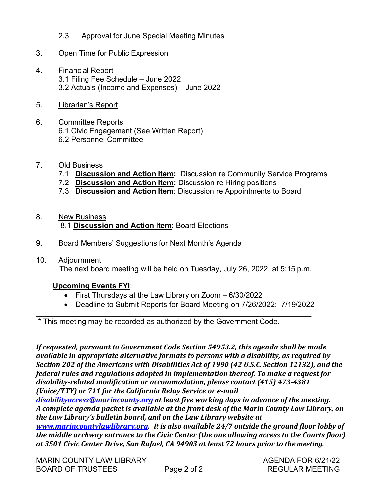2.3 Approval for June Special Meeting Minutes 2.3 Approval for June Special Meeting Minutes

#### 3. Open Time for Public Expression 3.

- 4. Financial Report 3.1 Filing Fee Schedule – June 2022 3.1 Filing Fee Schedule — June 2022 3.2 Actuals (Income and Expenses) – June 2022 3.2 Actuals (Income and Expenses) — June 2022 2.3 A<br><u>Open Ti</u><br><u>Financia</u> <u>Financial</u><br>3.1 Filing<br>3.2 Actua<br><u>Librarian's</u><br>Committe 9. Committee France Consumer Superinten Consumer Superinten Consuming Superinten Consumer S. Committee Report<br>
5.1 Committee Report<br>
6. Committee Reports<br>
6.1 Civic Engagement (See Writter<br>
6.2 Personnel Committee<br>
7.2 Di
- 5. Librarian's Report 5.
- 6. Committee Reports 6.1 Civic Engagement (See Written Report) 6.1 Civic Engagement (See Written Report) 6.2 Personnel Committee 6.2 Personnel Committee ming Fee Scriet<br>ctuals (Income<br><u>rian's Report</u><br>Sivic Engageme<br>Personnel Comr<br><u>Susiness</u><br>Discussion ar rian's Report<br>Tian's Report<br>Mittee Reports<br>Civic Engageme<br>Personnel Comm<br>Biscussion ar<br>Discussion ar <u>rian's Report<br>mittee Reports</u><br>ivic Engageme<br>Personnel Comr<br><u>Biscussion ar</u><br>Discussion ar
- 7. Old Business
	- 7.1 **Discussion and Action Item:** Discussion re Community Service Programs 7.1. Discussion and Action Item: Discussion re Community Service Programs
	- 7.2 **Discussion and Action Item:** Discussion re Hiring positions 7.2 Discussion and Action Item: Discussion re Hiring positions
	- 7.3 **Discussion and Action Item**: Discussion re Appointments to Board 7.3 Discussion and Action Item: Discussion re Appointments to Board 7.1 <u>DI</u><br>7.2 <u>Di</u><br>7.3 Di<br><u>New Bu</u>
- 8. New Business Personnel Com<br>Personnel Com<br>Business<br>Discussion al<br>Discussion al<br>Business<br>Discussion ar
- 8.1 **Discussion and Action Item**: Board Elections<br>9. Board Members' Suggestions for Next Month's Ager<br>10. Adjournment 9. Board Members' Suggestions for Next Month's Agenda 9.
- 10. Adjournment The next board meeting will be held on Tuesday, July 26, 2022, at 5:15 p.m. The next board meeting will be held on Tuesday, July 26, 2022, at 5:15 p.m. New Busii<br>8.1 <u>Discu</u><br>Board Me<br>Adjournme<br>The next |<br>Upcoming

#### **Upcoming Events FYI**: Upcoming Events FYI:

- First Thursdays at the Law Library on Zoom 6/30/2022 e First Thursdays at the Law Library on Zoom 6/30/2022
- Deadline to Submit Reports for Board Meeting on 7/26/2022: 7/19/2022 e Deadline to Submit Reports for Board Meeting on 7/26/2022: 7/19/2022

\_\_\_\_\_\_\_\_\_\_\_\_\_\_\_\_\_\_\_\_\_\_\_\_\_\_\_\_\_\_\_\_\_\_\_\_\_\_\_\_\_\_\_\_\_\_\_\_\_\_\_\_\_\_\_\_\_\_\_\_\_\_\_\_\_\_ \* This meeting may be recorded as authorized by the Government Code.

\* This meeting may be recorded as authorized by the Government Code.<br>If requested, pursuant to Government Code Section 54953.2, this agenda shall be made *available in appropriate alternative formats to persons with a disability, as required by*  available in appropriate alternative formats to persons with a disability, as required by *Section 202 of the Americans with Disabilities Act of 1990 (42 U.S.C. Section 12132), and the*  Section 202 of the Americans with Disabilities Act of 1990 (42 U.S.C. Section 12132), and the *federal rules and regulations adopted in implementation thereof. To make a request for*  federal rules and regulations adopted in implementation thereof. To make a request for *disability-related modification or accommodation, please contact (415) 473-4381*  disability-related modification or accommodation, please contact (415) 473-4381 *(Voice/TTY) or 711 for the California Relay Service or e-mail*  (Voice/TTY) or 711 for the California Relay Service or e-mail

*disabilityaccess@marincounty.org at least five working days in advance of the meeting.* disabilityaccess@marincounty.org at least five working days in advance of the meeting. *A complete agenda packet is available at the front desk of the Marin County Law Library, on*  A complete agenda packet is available at the front desk of the Marin County Law Library, on *the Law Library's bulletin board, and on the Law Library website at*  the Law Library's bulletin board, and on the Law Library website at

*www.marincountylawlibrary.org. It is also available 24/7 outside the ground floor lobby of*  www.marincountylawlibrary.org. It is also available 24/7 outside the ground floor lobby of *the middle archway entrance to the Civic Center (the one allowing access to the Courts floor)*  the middle archway entrance to the Civic Center (the one allowing access to the Courts floor) *at 3501 Civic Center Drive, San Rafael, CA 94903 at least 72 hours prior to the meeting.*  at 3501 Civic Center Drive, San Rafael, CA 94903 at least 72 hours prior to the meeting.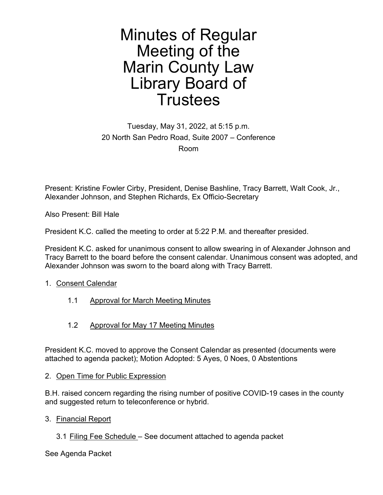#### Minutes of Regular Minutes of Regular Meeting of the Meeting of the Marin County Law Marin County Law Library Board of Library Board of Trustees Trustees

Tuesday, May 31, 2022, at 5:15 p.m. Tuesday, May 31, 2022, at 5:15 p.m. 20 North San Pedro Road, Suite 2007 – Conference 20 North San Pedro Road, Suite 2007 — Conference Room Room

Present: Kristine Fowler Cirby, President, Denise Bashline, Tracy Barrett, Walt Cook, Jr., Present: Kristine Fowler Cirby, President, Denise Bashline, Tracy Barrett, Walt Cook, Jr., Alexander Johnson, and Stephen Richards, Ex Officio-Secretary Alexander Johnson, and Stephen Richards, Ex Officio-Secretary

Also Present: Bill Hale Also Present: Bill Hale

President K.C. called the meeting to order at 5:22 P.M. and thereafter presided. President K.C. called the meeting to order at 5:22 P.M. and thereafter presided.

President K.C. asked for unanimous consent to allow swearing in of Alexander Johnson and President K.C. asked for unanimous consent to allow swearing in of Alexander Johnson and Tracy Barrett to the board before the consent calendar. Unanimous consent was adopted, and Tracy Barrett to the board before the consent calendar. Unanimous consent was adopted, and Alexander Johnson was sworn to the board along with Tracy Barrett. Alexander Johnson was sworn to the board along with Tracy Barrett.

#### 1. Consent Calendar

- 1.1 Approval for March Meeting Minutes 1.1 Approval for March Meeting Minutes
- 1.2 Approval for May 17 Meeting Minutes 1.2 Approval for May 17 Meeting Minutes

President K.C. moved to approve the Consent Calendar as presented (documents were President K.C. moved to approve the Consent Calendar as presented (documents were attached to agenda packet); Motion Adopted: 5 Ayes, 0 Noes, 0 Abstentions attached to agenda packet); Motion Adopted: 5 Ayes, 0 Noes, 0 Abstentions 1. Consent Calendar<br>1.1 Approval for March Me<br>1.2 Approval for May 17 Me<br>President K.C. moved to approve the<br>attached to agenda packet); Motion /<br>2. <u>Open Time for Public Expression</u>

#### 2. Open Time for Public Expression

B.H. raised concern regarding the rising number of positive COVID-19 cases in the county B.H. raised concern regarding the rising number of positive COVID-19 cases in the county and suggested return to teleconference or hybrid. and suggested return to teleconference or hybrid.

- 3. Financial Report
	- 3.1 Filing Fee Schedule See document attached to agenda packet 3.1 Filing Fee Schedule See document attached to agenda packet

See Agenda Packet See Agenda Packet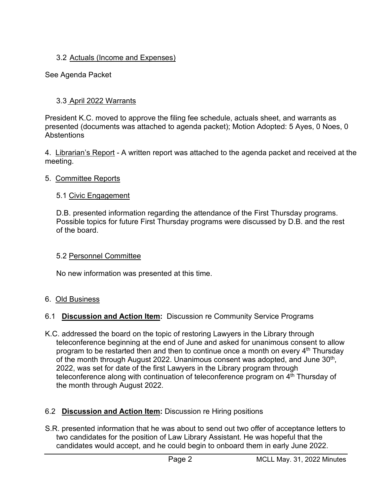### 3.2 Actuals (Income and Expenses) 3.2 Actuals (Income and Expenses) 3.2 <u>Actuals (Income and</u><br>E Agenda Packet<br>3.3 <u>April 2022 Warrants</u>

See Agenda Packet See Agenda Packet

President K.C. moved to approve the filing fee schedule, actuals sheet, and warrants as President K.C. moved to approve the filing fee schedule, actuals sheet, and warrants as presented (documents was attached to agenda packet); Motion Adopted: 5 Ayes, 0 Noes, 0 presented (documents was attached to agenda packet); Motion Adopted: 5 Ayes, 0 Noes, 0 Abstentions Abstentions

4. Librarian's Report - A written report was attached to the agenda packet and received at the meeting. meeting.

#### 5. Committee Reports

#### 5.1 Civic Engagement

D.B. presented information regarding the attendance of the First Thursday programs. D.B. presented information regarding the attendance of the First Thursday programs. Possible topics for future First Thursday programs were discussed by D.B. and the rest Possible topics for future First Thursday programs were discussed by D.B. and the rest of the board. of the board. 5.1 <u>Civic Engagement</u><br>D.B. presented informatio<br>Possible topics for future<br>of the board.<br>5.2 <u>Personnel Committee</u>

#### 5.2 Personnel Committee

No new information was presented at this time. No new information was presented at this time.

#### 6. Old Business

#### 6.1 **Discussion and Action Item:** Discussion re Community Service Programs 6.1 Discussion and Action Item: Discussion re Community Service Programs

K.C. addressed the board on the topic of restoring Lawyers in the Library through K.C. addressed the board on the topic of restoring Lawyers in the Library through teleconference beginning at the end of June and asked for unanimous consent to allow teleconference beginning at the end of June and asked for unanimous consent to allow program to be restarted then and then to continue once a month on every 4<sup>th</sup> Thursday of the month through August 2022. Unanimous consent was adopted, and June 30<sup>th</sup>, 2022, was set for date of the first Lawyers in the Library program through 2022, was set for date of the first Lawyers in the Library program through teleconference along with continuation of teleconference program on 4<sup>th</sup> Thursday of the month through August 2022. the month through August 2022. 4. **Considers Account** - A written report was almeeting.<br>
5. Committee Reports<br>
5.1 Civic Engagement<br>
D.B. presented information regarding the a<br>
Possible topics for future First Thursday pi<br>
of the board.<br>
5.2 <u>Personnel </u>

#### 6.2 **Discussion and Action Item:** Discussion re Hiring positions 6.2 Discussion and Action Item: Discussion re Hiring positions

S.R. presented information that he was about to send out two offer of acceptance letters to S.R. presented information that he was about to send out two offer of acceptance letters to two candidates for the position of Law Library Assistant. He was hopeful that the two candidates for the position of Law Library Assistant. He was hopeful that the candidates would accept, and he could begin to onboard them in early June 2022. candidates would accept, and he could begin to onboard them in early June 2022.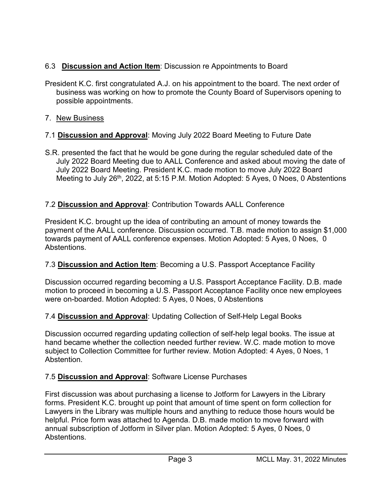#### 6.3 **Discussion and Action Item**: Discussion re Appointments to Board 6.3 Discussion and Action Item: Discussion re Appointments to Board

- President K.C. first congratulated A.J. on his appointment to the board. The next order of President K.C. first congratulated A.J. on his appointment to the board. The next order of business was working on how to promote the County Board of Supervisors opening to business was working on how to promote the County Board of Supervisors opening to possible appointments. possible appointments. 6.3 Discussion and Action It<br>President K.C. first congratulate<br>business was working on he<br>possible appointments.<br>7. <u>New Business</u><br>7.1 <u>Discussion and Approval</u>
- 7. New Business
- 7.1 **Discussion and Approval**: Moving July 2022 Board Meeting to Future Date Discussion and Approval: Moving July 2022 Board Meeting to Future Date
- S.R. presented the fact that he would be gone during the regular scheduled date of the S.R. presented the fact that he would be gone during the regular scheduled date of the July 2022 Board Meeting due to AALL Conference and asked about moving the date of July 2022 Board Meeting due to AALL Conference and asked about moving the date of July 2022 Board Meeting. President K.C. made motion to move July 2022 Board July 2022 Board Meeting. President K.C. made motion to move July 2022 Board Meeting to July 26<sup>th</sup>, 2022, at 5:15 P.M. Motion Adopted: 5 Ayes, 0 Noes, 0 Abstentions 7.1 Discussion and Approval<br>S.R. presented the fact that he<br>July 2022 Board Meeting du<br>July 2022 Board Meeting. P<br>Meeting to July 26<sup>th</sup>, 2022, a<br>7.2 <u>Discussion and Approval</u>

#### 7.2 **Discussion and Approval**: Contribution Towards AALL Conference Discussion and Approval: Contribution Towards AALL Conference

President K.C. brought up the idea of contributing an amount of money towards the President K.C. brought up the idea of contributing an amount of money towards the payment of the AALL conference. Discussion occurred. T.B. made motion to assign \$1,000 payment of the AALL conference. Discussion occurred. T.B. made motion to assign \$1,000 towards payment of AALL conference expenses. Motion Adopted: 5 Ayes, 0 Noes, 0 towards payment of AALL conference expenses. Motion Adopted: 5 Ayes, 0 Noes, 0 Abstentions. Abstentions. July 2022 Board Mccling. 1 10.<br>Meeting to July 26<sup>th</sup>, 2022, at 3<br>7.2 **Discussion and Approval**: C<br>President K.C. brought up the ide<br>payment of the AALL conference.<br>towards payment of AALL confere<br>Abstentions.

#### 7.3 **Discussion and Action Item**: Becoming a U.S. Passport Acceptance Facility Discussion and Action Item: Becoming a U.S. Passport Acceptance Facility

Discussion occurred regarding becoming a U.S. Passport Acceptance Facility. D.B. made Discussion occurred regarding becoming a U.S. Passport Acceptance Facility. D.B. made motion to proceed in becoming a U.S. Passport Acceptance Facility once new employees motion to proceed in becoming a U.S. Passport Acceptance Facility once new employees were on-boarded. Motion Adopted: 5 Ayes, 0 Noes, 0 Abstentions were on-boarded. Motion Adopted: 5 Ayes, 0 Noes, 0 Abstentions Payment of the AALL conferent<br>towards payment of AALL conf<br>Abstentions.<br>7.3 <u>Discussion and Action Ite</u><br>Discussion occurred regarding<br>motion to proceed in becoming<br>were on-boarded. Motion Adop<br>7.4 <u>Discussion and Approval</u>

#### 7.4 **Discussion and Approval**: Updating Collection of Self-Help Legal Books Discussion and Approval: Updating Collection of Self-Help Legal Books

Discussion occurred regarding updating collection of self-help legal books. The issue at Discussion occurred regarding updating collection of self-help legal books. The issue at hand became whether the collection needed further review. W.C. made motion to move hand became whether the collection needed further review. W.C. made motion to move subject to Collection Committee for further review. Motion Adopted: 4 Ayes, 0 Noes, 1 subject to Collection Committee for further review. Motion Adopted: 4 Ayes, 0 Noes, 1 Abstention. Abstention. motion to proceed in becoming<br>were on-boarded. Motion Adop<br>7.4 Discussion and Approval<br>Discussion occurred regarding<br>hand became whether the colle<br>subject to Collection Committee<br>Abstention.<br>7.5 Discussion and Approval

#### 7.5 **Discussion and Approval**: Software License Purchases Discussion and Approval: Software License Purchases

First discussion was about purchasing a license to Jotform for Lawyers in the Library First discussion was about purchasing a license to Jotform for Lawyers in the Library forms. President K.C. brought up point that amount of time spent on form collection for forms. President K.C. brought up point that amount of time spent on form collection for Lawyers in the Library was multiple hours and anything to reduce those hours would be Lawyers in the Library was multiple hours and anything to reduce those hours would be helpful. Price form was attached to Agenda. D.B. made motion to move forward with helpful. Price form was attached to Agenda. D.B. made motion to move forward with annual subscription of Jotform in Silver plan. Motion Adopted: 5 Ayes, 0 Noes, 0 annual subscription of Jotform in Silver plan. Motion Adopted: 5 Ayes, 0 Noes, 0 Abstentions. Abstentions. S.R. presented the ract that ne would be gone<br>
July 2022 Board Meeting due to AALL Cor<br>
July 2022 Board Meeting due to AALL Cor<br>
July 2022 Board Meeting. President K.C. r<br>
Meeting to July 26<sup>th</sup>, 2022, at 5:15 P.M. M<br>
7.2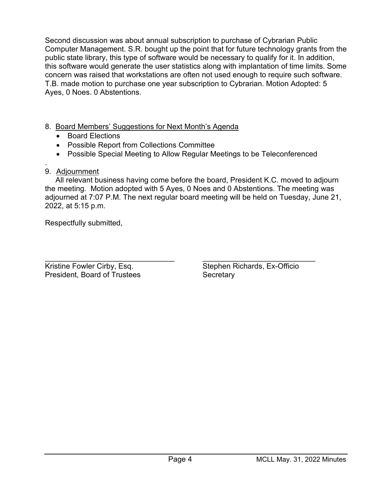Second discussion was about annual subscription to purchase of Cybrarian Public Second discussion was about annual subscription to purchase of Cybrarian Public Computer Management. S.R. bought up the point that for future technology grants from the Computer Management. S.R. bought up the point that for future technology grants from the public state library, this type of software would be necessary to qualify for it. In addition, public state library, this type of software would be necessary to qualify for it. In addition, this software would generate the user statistics along with implantation of time limits. Some this software would generate the user statistics along with implantation of time limits. Some concern was raised that workstations are often not used enough to require such software. concern was raised that workstations are often not used enough to require such software. T.B. made motion to purchase one year subscription to Cybrarian. Motion Adopted: 5 T.B. made motion to purchase one year subscription to Cybrarian. Motion Adopted: 5 Ayes, 0 Noes. 0 Abstentions. Ayes, 0 Noes. 0 Abstentions. cond discussion was about amputer Management. S.R. k<br>blic state library, this type of<br>i software would generate the<br>ncern was raised that workst<br>i. made motion to purchase<br>es, 0 Noes. 0 Abstentions.<br>Board Members' Suggesti

#### 8. Board Members' Suggestions for Next Month's Agenda 8. Board Members' Suggestions for Next Month's Agenda

- Board Elections e Board Elections
- Possible Report from Collections Committee e Possible Report from Collections Committee ● Bo<br>● Po:<br>● Po:<br><u>Adjour</u>
- Possible Special Meeting to Allow Regular Meetings to be Teleconferenced e Possible Special Meeting to Allow Regular Meetings to be Teleconferenced

#### . 9. Adjournment

 All relevant business having come before the board, President K.C. moved to adjourn All relevant business having come before the board, President K.C. moved to adjourn the meeting. Motion adopted with 5 Ayes, 0 Noes and 0 Abstentions. The meeting was the meeting. Motion adopted with 5 Ayes, 0 Noes and 0 Abstentions. The meeting was adjourned at 7:07 P.M. The next regular board meeting will be held on Tuesday, June 21, adjourned at 7:07 P.M. The next regular board meeting will be held on Tuesday, June 21, 2022, at 5:15 p.m. 2022, at 5:15 p.m. • Board Electic<br>• Possible Rep<br>• Possible Spe<br>9. Adjournment<br>All relevant busis<br>the meeting. Motion<br>adjourned at 7:07 P<br>2022, at 5:15 p.m.<br>Respectfully submit Possible Special Meeting to Allow Regular Meetings to be Teleconferenced<br>
9. Adjournment<br>
All relevent business having come before the board, President K.C. moved to adjourn<br>
the meeting. Motion adopted with 5 Ayes, 0 Noes

Respectfully submitted, Respectfully submitted,

 $\overline{\phantom{a}}$  , and the contribution of the contribution of the contribution of the contribution of the contribution of the contribution of the contribution of the contribution of the contribution of the contribution of the Kristine Fowler Cirby, Esq. The Microsoft Communist Controller Stephen Richards, Ex-Officio President, Board of Trustees Secretary Kristine Fowler Cirby, Esq.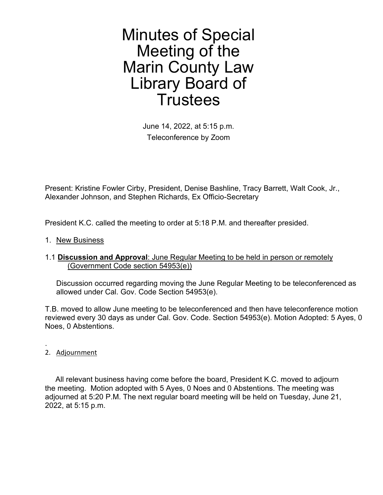Minutes of Special Minutes of Special Meeting of the Meeting of the Marin County Law Marin County Law Library Board of Library Board of Trustees Trustees

> June 14, 2022, at 5:15 p.m. June 14, 2022, at 5:15 p.m. Teleconference by Zoom Teleconference by Zoom

Present: Kristine Fowler Cirby, President, Denise Bashline, Tracy Barrett, Walt Cook, Jr., Present: Kristine Fowler Cirby, President, Denise Bashline, Tracy Barrett, Walt Cook, Jr., Alexander Johnson, and Stephen Richards, Ex Officio-Secretary Alexander Johnson, and Stephen Richards, Ex Officio-Secretary **t: Kristine Fowler (**<br>der Johnson, and (<br>ent K.C. called the<br><u>w Business</u><br>scussion and App<br>(Government Code

President K.C. called the meeting to order at 5:18 P.M. and thereafter presided. President K.C. called the meeting to order at 5:18 P.M. and thereafter presided.

1. New Business

#### 1.1 **Discussion and Approval**: June Regular Meeting to be held in person or remotely 1.1 Discussion and Approval: June Regular Meeting to be held in person or remotely (Government Code section 54953(e)) (Government Code section 54953(e))

Discussion occurred regarding moving the June Regular Meeting to be teleconferenced as Discussion occurred regarding moving the June Regular Meeting to be teleconferenced as allowed under Cal. Gov. Code Section 54953(e). allowed under Cal. Gov. Code Section 54953(e).

T.B. moved to allow June meeting to be teleconferenced and then have teleconference motion T.B. moved to allow June meeting to be teleconferenced and then have teleconference motion reviewed every 30 days as under Cal. Gov. Code. Section 54953(e). Motion Adopted: 5 Ayes, 0 reviewed every 30 days as under Cal. Gov. Code. Section 54953(e). Motion Adopted: 5 Ayes, 0 Noes, 0 Abstentions. Noes, 0 Abstentions.

2. Adjournment

.

 All relevant business having come before the board, President K.C. moved to adjourn All relevant business having come before the board, President K.C. moved to adjourn the meeting. Motion adopted with 5 Ayes, 0 Noes and 0 Abstentions. The meeting was the meeting. Motion adopted with 5 Ayes, 0 Noes and 0 Abstentions. The meeting was adjourned at 5:20 P.M. The next regular board meeting will be held on Tuesday, June 21, adjourned at 5:20 P.M. The next regular board meeting will be held on Tuesday, June 21, 2022, at 5:15 p.m. 2022, at 5:15 p.m.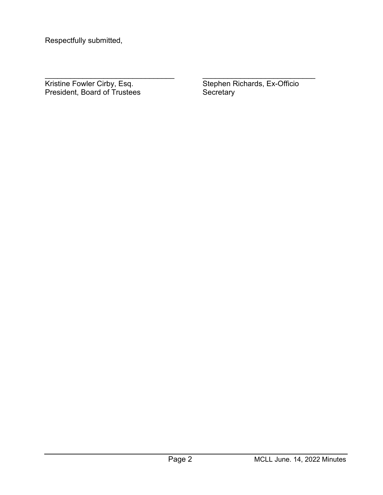Respectfully submitted, Respectfully submitted, Respectfully submit<br>Respectfully submit

President, Board of Trustees Secretary Kristine Fowler Cirby, Esq. President, Board of Trustees Secretary

\_\_\_\_\_\_\_\_\_\_\_\_\_\_\_\_\_\_\_\_\_\_\_\_\_\_\_\_\_\_\_ \_\_\_\_\_\_\_\_\_\_\_\_\_\_\_\_\_\_\_\_\_\_\_\_\_\_\_ Kristine Fowler Cirby, Esq. The Microsoft Communist Controller Stephen Richards, Ex-Officio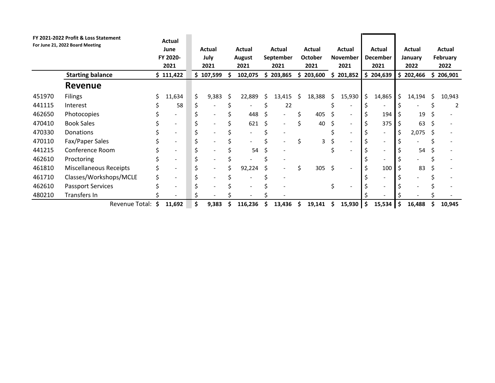|                  | FY 2021-2022 Profit & Loss Statement               |         |                                  |                                 |                                                      |         |                                |          |                                                      |                          |                                |                           |                           |          |                   |         |                          |
|------------------|----------------------------------------------------|---------|----------------------------------|---------------------------------|------------------------------------------------------|---------|--------------------------------|----------|------------------------------------------------------|--------------------------|--------------------------------|---------------------------|---------------------------|----------|-------------------|---------|--------------------------|
|                  | For June 21, 2022 Board Meeting                    |         | Actual                           |                                 |                                                      |         |                                |          |                                                      |                          |                                |                           |                           |          |                   |         |                          |
|                  |                                                    |         | June<br>FY 2020-                 |                                 | <b>Actual</b><br>July                                |         | <b>Actual</b><br><b>August</b> |          | Actual<br>September                                  | <b>Actual</b><br>October | <b>Actual</b><br>November      |                           | <b>Actual</b><br>December |          | Actual<br>January |         | Actual<br>February       |
|                  |                                                    |         | 2021                             |                                 | 2021                                                 |         | 2021                           |          | 2021                                                 | 2021                     | 2021                           |                           | 2021                      |          | 2022              |         | 2022                     |
|                  | <b>Starting balance</b>                            |         | \$111,422                        |                                 | \$107,599                                            | \$      | 102,075                        |          | \$203,865                                            | \$203,600                | \$201,852                      |                           | \$204,639                 |          | \$202,466         | \$      | 206,901                  |
|                  | <b>Revenue</b>                                     |         |                                  |                                 |                                                      |         |                                |          |                                                      |                          |                                |                           |                           |          |                   |         |                          |
| 451970           | Filings                                            | \$      | 11,634                           | \$                              | 9,383                                                | \$      | 22,889                         | \$       | 13,415                                               | \$<br>18,388             | \$<br>15,930                   | \$                        | 14,865                    | \$       | 14,194            | \$      | 10,943                   |
| 441115           | Interest                                           | \$      |                                  | $\boldsymbol{\mathsf{S}}$       | $\overline{\phantom{a}}$                             | \$      | $\blacksquare$                 | \$       | 22                                                   |                          | \$<br>$\overline{\phantom{a}}$ | \$                        | $\blacksquare$            | \$       |                   |         | $\overline{2}$           |
| 462650           |                                                    |         | 58                               |                                 |                                                      |         |                                |          |                                                      |                          |                                |                           |                           |          |                   | \$      |                          |
| 470410           | Photocopies                                        | \$      | $\blacksquare$                   | \$                              | $\overline{\phantom{a}}$                             | \$      | 448                            | \$       | $\overline{\phantom{a}}$                             | \$<br>405                | \$<br>$\overline{\phantom{a}}$ | \$                        | 194                       | \$       | 19                | \$      |                          |
|                  | <b>Book Sales</b>                                  | \$      | $\blacksquare$                   | \$                              | $\overline{\phantom{a}}$                             | \$      | 621                            | \$       | $\overline{\phantom{a}}$                             | \$<br>40                 | \$<br>$\blacksquare$           | \$                        | 375                       | \$       | 63                | \$      | $\blacksquare$           |
| 470330           | Donations                                          | \$      | $\blacksquare$                   | \$                              | $\overline{\phantom{a}}$                             | \$      | $\overline{\phantom{a}}$       | \$       | $\overline{\phantom{a}}$                             |                          | \$<br>$\blacksquare$           | \$                        | $\overline{\phantom{a}}$  | \$       | 2,075             | \$      | $\blacksquare$           |
| 470110           | Fax/Paper Sales                                    | \$      | $\blacksquare$                   | \$                              | $\overline{\phantom{a}}$                             | \$      | $\overline{\phantom{a}}$       | \$       | $\blacksquare$                                       | \$<br>3                  | \$<br>$\overline{\phantom{a}}$ | \$                        | $\blacksquare$            | \$       |                   | \$      | $\overline{\phantom{a}}$ |
| 441215           | Conference Room                                    | \$      | $\blacksquare$                   | \$                              | $\overline{\phantom{a}}$                             | \$      | 54                             | \$       | $\overline{\phantom{a}}$                             |                          | \$<br>$\overline{a}$           | \$                        | $\overline{\phantom{a}}$  | \$       | 54                | \$      |                          |
| 462610           | Proctoring                                         | \$      | $\blacksquare$                   | \$                              | $\overline{\phantom{a}}$<br>$\overline{\phantom{a}}$ | \$      |                                | \$       | $\overline{\phantom{a}}$<br>$\overline{\phantom{a}}$ |                          | $\blacksquare$                 | \$                        | $\overline{\phantom{a}}$  | \$       |                   | Ś       |                          |
| 461810           | <b>Miscellaneous Receipts</b>                      | \$      | $\blacksquare$<br>$\blacksquare$ | \$                              | $\overline{\phantom{a}}$                             | \$      | 92,224                         | \$       | $\overline{\phantom{a}}$                             | \$<br>305                | \$                             | $\boldsymbol{\mathsf{S}}$ | 100<br>$\blacksquare$     | \$       | 83                | \$<br>Ś |                          |
| 461710<br>462610 | Classes/Workshops/MCLE<br><b>Passport Services</b> | \$<br>Ś | $\blacksquare$                   | $\boldsymbol{\mathsf{S}}$<br>\$ | $\overline{\phantom{a}}$                             | \$<br>Ś | $\blacksquare$                 | \$<br>\$ | ٠                                                    |                          | \$<br>$\overline{\phantom{a}}$ | \$<br>\$                  | $\blacksquare$            | \$<br>\$ |                   |         |                          |
| 480210           | Transfers In<br>Revenue Total: \$                  |         |                                  | \$<br>\$                        | 9,383                                                | \$      |                                |          |                                                      |                          |                                | \$                        |                           | S        |                   |         | 10,945                   |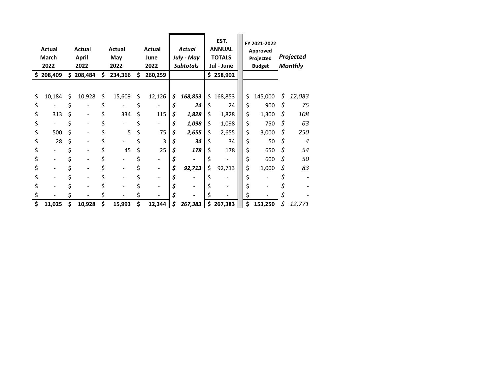|          | <b>Actual</b><br>March<br>2022 |          | <b>Actual</b><br><b>April</b><br>2022 |          | <b>Actual</b><br>May<br>2022 |          | <b>Actual</b><br>June<br>2022 |               | <b>Actual</b><br>July - May<br><b>Subtotals</b> |          | EST.<br><b>ANNUAL</b><br><b>TOTALS</b><br>Jul - June |          | FY 2021-2022<br>Approved<br>Projected<br><b>Budget</b> |          | Projected<br><b>Monthly</b> |
|----------|--------------------------------|----------|---------------------------------------|----------|------------------------------|----------|-------------------------------|---------------|-------------------------------------------------|----------|------------------------------------------------------|----------|--------------------------------------------------------|----------|-----------------------------|
|          | \$208,409                      |          | \$208,484                             | \$       | 234,366                      | \$       | 260,259                       |               |                                                 |          | \$258,902                                            |          |                                                        |          |                             |
| \$<br>\$ | 10,184                         | \$<br>\$ | 10,928                                | \$<br>\$ | 15,609                       | \$<br>¢  | 12,126                        | \$<br>\$      | 168,853<br>24                                   | \$<br>⊋  | 168,853<br>24                                        | \$<br>\$ | 145,000<br>900                                         | \$<br>\$ | 12,083<br>75                |
| \$       | 313                            | \$       |                                       | \$       | 334                          | \$       | 115                           | \$            | 1,828                                           | \$       | 1,828                                                | \$       | 1,300                                                  | \$       | 108                         |
| \$       | $\mathbb{Z}^{\mathbb{Z}}$      | \$       |                                       | \$       |                              | \$       | $\overline{\phantom{0}}$      | \$            | 1,098                                           | \$       | 1,098                                                | \$       | 750                                                    | \$       | 63                          |
| \$       | 500                            | \$       |                                       | \$       | $\mathsf S$                  | \$       | 75                            | \$            | 2,655                                           | \$       | 2,655                                                | \$       | 3,000                                                  | \$       | 250                         |
| \$       | 28                             | \$       |                                       | \$       |                              | \$       | $\overline{3}$                | \$            | 34                                              | \$       | 34                                                   | \$       | 50                                                     | \$       | $\overline{\mathcal{A}}$    |
| \$       |                                | \$       |                                       | \$       | 45                           | \$       | 25                            | \$            | 178                                             | \$       | 178                                                  | \$       | 650                                                    | \$       | 54                          |
| \$       |                                | \$       |                                       | \$       |                              | \$       |                               | \$            | $\mathbb{Z}^{\mathbb{Z}}$                       | \$       | $\sim$                                               | \$       | 600                                                    | \$       | 50                          |
| \$       |                                | \$       |                                       | \$       |                              | \$       |                               | $\pmb{\zeta}$ | 92,713                                          | \$       | 92,713                                               | \$       | 1,000                                                  | \$       | 83                          |
| \$       |                                | \$       |                                       | \$       |                              | \$       |                               | \$            |                                                 | \$       |                                                      | \$       | $\overline{\phantom{0}}$                               | \$       |                             |
| \$<br>\$ |                                | \$<br>\$ |                                       | \$<br>\$ |                              | \$<br>\$ |                               | \$<br>\$      |                                                 | \$<br>\$ |                                                      | \$<br>\$ |                                                        | \$<br>\$ |                             |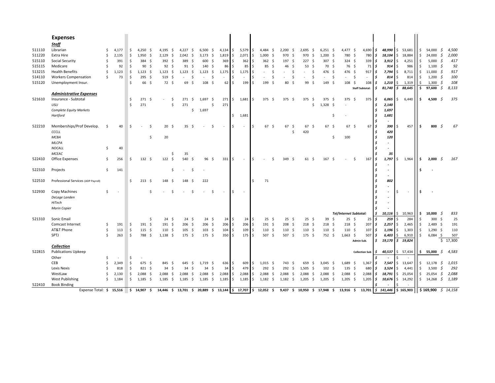| <b>Expenses</b><br><b>Staff</b><br>\$53,681<br>Librarian<br>\$<br>4,177<br>4,195<br>6,500<br>$4,134$ \$<br>5,579<br>2,200<br>2,695<br>$6,251$ \$<br>4,477 \$<br>4,690 \$<br>48,990<br>\$<br>54,000<br>- \$<br>4,500<br>\$<br>4,250<br>-\$<br>4,227<br>-\$<br>-\$<br>$\sim$ 5<br>4,484<br>-\$<br>-\$<br>- \$<br>- \$<br>2,000<br>$\ddot{\mathsf{S}}$<br>l \$<br>\$<br>\$<br>$24,000 \quad 5$<br>Extra Hire<br>Ś<br>-\$<br>- \$<br>l \$<br>-\$<br>- \$<br>970<br>- \$<br>$1,200$ \$<br>780<br>780 \$<br>18,104<br>\$18,884<br>2,135<br>\$.<br>1,950<br>- \$<br>2,129<br>2,042<br>3,173<br>1,819<br>2,071<br>1,000<br>970<br>$324 \quad $5$<br>\$<br>\$<br>-\$<br>417<br>515110<br>Social Security<br>\$<br>391<br>$392 \quad $$<br>-\$<br>600<br>-\$<br>369<br>l\$<br>∣\$<br>$362 \quad $$<br>$197 \frac{2}{3}$<br>227<br>- \$<br>307 <sub>5</sub><br>339<br>l \$<br>\$<br>384<br>- \$<br>389<br>362<br>3,912<br>4,251<br>5,000<br>92<br>$\frac{1}{2}$<br>\$<br>515115<br>Medicare<br>\$<br>92<br>90<br>92<br>- \$<br>91<br>-\$<br>$140 \pm$<br>86<br>l\$<br>85<br>l \$<br>85<br>- \$<br>53<br>- \$<br>70 \$<br>76 \$<br>71<br>l s<br>914<br>986<br>$1,100 \div$<br>\$<br>-\$<br>46<br>- \$<br><b>Health Benefits</b><br>476 \$<br>$11,000 \quad$ \$<br>917<br>\$<br>1,123<br>1,123<br>$1,123$ \$<br>-\$<br>$1,123$ \$<br>1,175<br>5<br>\$<br>476 \$<br>917<br>7,794<br>\$<br>8,711<br>\$<br>1,123<br>1,175<br>l \$<br>\$<br>\$<br>l \$<br>-\$<br>- S<br>٠<br>٠<br>$\frac{1}{2}$<br>\$<br>100<br>514110<br><b>Workers Compensation</b><br>Ŝ.<br>73<br>295<br>$519$ \$<br>\$<br>\$<br>l\$<br>.\$<br>\$<br>\$<br>l \$<br>814<br>814<br>$1,200 \quad 5$<br>\$<br>- \$<br>.S<br>S.<br>S.<br>$\overline{\phantom{a}}$<br>$\sim$<br>$\overline{\phantom{a}}$<br>$\sim$<br>٠<br>٠<br>٠<br>$\sim$<br>66 \$<br>$108 \quad $$<br>Ś.<br>108<br>Unemployment Insur.<br>$72 \quad $$<br>69 \$<br>108, 5<br>62<br>I۶<br>99<br>-\$<br>149 <sup>5</sup><br>l \$<br>Ś.<br>1,300<br>-S<br>\$<br>199<br>l \$<br>199<br>- \$<br>80<br>- Ś<br>108<br>1,210<br>1,319<br>\$<br>S.<br>88,645<br>8,133<br>81,740<br>97,600<br>\$<br>l \$<br><b>Staff Subtotal:</b><br><b>Administrative Expenses</b><br>521610<br>Insurance - Subtotal<br>271S<br>$1,681$ \$<br>$375$ \$<br>375/5<br>\$<br>375<br>271<br>$1,697$ \$<br>375 \$<br>375<br>375<br>375<br>-\$<br>6,065<br>\$<br>6,440<br>4,500<br>- 5<br>\$<br>-\$<br>271<br>-\$<br>- \$<br>- \$<br>- \$<br>271<br>$\ddot{\mathsf{S}}$<br>271<br>271<br>$1,328$ \$<br><b>USLI</b><br>\$<br>\$<br>\$<br>l \$<br>2,140<br>٠<br><b>Complete Equity Markets</b><br>\$<br>1,697<br>1,697<br>۱s.<br>\$<br>l \$<br>1,681<br>Hartford<br>l \$<br>1,681<br>522210<br>Memberships/Prof Develop.<br>$67 \quad $5$<br>67 <sup>5</sup><br>$67 \mid 5$<br>67<br>40<br>$20 \frac{2}{3}$<br>Ŝ.<br>l \$<br>67<br>- \$<br>67<br>- \$<br>67<br>- \$<br>390<br>457<br>\$<br>- 5<br>\$.<br>\$.<br>-Ś<br>35<br>- \$<br>.s<br>S.<br>800<br>٠<br>420<br>CCCLL<br>\$.<br>420<br><b>MCBA</b><br>20<br>120<br>\$<br>\$<br>100<br>l \$<br>MLCPA<br>NOCALL<br>\$<br>40<br>$\overline{\phantom{a}}$<br>MCEAC<br>\$<br>35<br>35<br>$122 \quad $$<br>$331 \frac{1}{2}$<br>1,797<br>522410<br>Office Expenses<br>\$<br>256<br>$132 \quad 5$<br>540<br>-\$<br>$96 \quad $$<br>S.<br>$349 \frac{2}{3}$<br>$61 \;$ \$<br>$167 \frac{2}{3}$<br>\$<br>167 \$<br>$\frac{1}{2}$<br>1,964<br>\$<br>2,000<br>5<br>167<br>\$<br>I\$<br>$\sim$<br>$\sim$<br>\$<br>$\ddot{\mathsf{S}}$<br>Projects<br>141<br>-\$<br>\$<br>$\overline{\phantom{a}}$<br>522510<br>Professional Services (ADP Payroll)<br>$213 \quad $5$<br>148 \$<br>71<br>802<br>\$<br>$148 \;$ \$<br>222<br>$\ddot{\varsigma}$<br>$\overline{\phantom{a}}$<br>\$<br>522930<br>Copy Machines<br>\$<br>\$<br>Ŝ.<br>-\$<br>I\$<br>\$<br>$\sim$<br>Ŝ<br>$\sim$<br>$\sim$<br>$\overline{\phantom{a}}$<br>$\overline{\phantom{a}}$<br>DeLage Landen<br>HiTech<br><b>Marin Copier</b><br>Tel/Internet Subtotal:<br>10,000 $\lesssim$<br>833<br>l \$<br>10,116<br>\$10,963<br>\$<br>Sonic Email<br>$24 \quad $$<br>$24 \quad$ \$<br>$24 \quad$ \$<br>24S<br>24<br>$25 \quad$<br>$25 \quad$ \$<br>$25 \quad$ \$<br>$39 \quad$ \$<br>$25 \quad$<br>25<br>259<br>\$<br>284<br>\$<br>$300 \div$<br>25<br>\$.<br>l \$<br>$191 \quad $5$<br>$206$ \$<br>$206$ \$<br>$206 \div$<br>191 \$<br>$218$ \$<br>Comcast Internet<br>191<br>$191 \quad $5$<br>$206 \div$<br>$208 \quad 5$<br>$218$ \$<br>$218 \quad $$<br>207<br>2,257<br>$\mathsf{S}$<br>\$<br>$2,489$ \$<br>191<br>.S<br>\$<br>١s<br>2,465<br>AT&T Phone<br>\$<br>$\ddot{\mathsf{S}}$<br>113<br>\$<br>$115 \quad $$<br>$110 \frac{1}{5}$<br>$105 \quad $$<br>$103 \quad $$<br>$104 \pm$<br>109<br>l \$<br>$110 \frac{1}{2}$<br>$110 \pm$<br>110<br>107<br>$\frac{1}{2}$<br>1,303<br>\$<br>$1,290$ \$<br>110<br>$110 \pm$<br>$110 \pm$<br>1,196<br>I S<br>SPTJ<br>\$<br>$175$ \$<br>350S<br>$175 \quad $$<br>752 \$<br>\$<br>263<br>788 \$<br>$1,138$ \$<br>$175$ \$<br>175S<br>$507 \quad $$<br>$507 \frac{5}{7}$<br>$1,663$ \$<br>507<br>6,403<br>6,910<br>$6,084$ \$<br>507<br>\$<br>I\$<br>S,<br>\$17,300<br>\$19,824<br>19,170<br>S<br>Admin Sub.<br><b>Collection</b><br>522815<br><b>Publications Upkeep</b><br>40,537 \$ 57,434<br>\$5,000\$<br>4,583<br>I\$<br><b>Collection Sub</b><br>Other<br>\$<br>\$<br>$\overline{\phantom{a}}$<br>$\overline{\phantom{a}}$<br>7,547<br>CEB<br>Ś<br>2,349<br>\$<br>675 \$<br>845 \$<br>$1,719$ \$<br>636 \$<br>609<br>$\ddot{\mathsf{S}}$<br>$1,015$ \$<br>743 \$<br>659<br>$3,045$ \$<br>1,689<br>1,367<br>\$13,647<br>\$<br>12,178<br>-\$<br>1,015<br>645<br>-\$<br>-\$<br>-\$<br>l \$<br>Ś<br>34<br>$34$ \$<br>479<br>$292 \quad $$<br>135 \$<br>\$<br>$\mathfrak{s}$<br>292<br>Lexis Nexis<br>818<br>821 \$<br>34<br>\$<br>34<br>- \$<br>l \$<br>292<br>1,505<br>- \$<br>$102 \quad $$<br>680<br>3,524<br>$\frac{1}{2}$<br>3,500<br>\$<br>-\$<br>- \$<br>4,441<br>I S<br>WestLaw<br>$2,088$ \$<br>$2,088$ \$<br>2,088<br>$\frac{1}{2}$<br>2,088<br>$2,088$ \$<br>$2,088$ \$<br>18,791<br>2,088<br>\$<br>2,130<br>2,088<br>\$<br>2,088<br>$\ddot{\mathsf{S}}$<br>2,088 \$<br>2,088<br>$2,088$ \$<br>2,088<br>\$25,054<br>$$25,054$ \$<br>\$<br>I\$<br>- \$<br>I\$<br>West Publishing<br>$$14,268 \quad $1,189$<br>\$<br>$1,185$ \$<br>1,185<br>\$<br>1,185<br>$\ddot{\varsigma}$<br>$1,185$ \$<br>$1,185$ \$<br>1,185<br>$1,182$ \$<br>$1,182$ \$<br>$1,205$ \$<br>$1,205$ \$<br>$1,205$ \$<br>1,205<br>10,676<br>\$14,292<br>1,184<br>I\$<br>-S<br>١s<br>522410<br><b>Book Binding</b><br>14,446 \$ 13,701 \$ 20,889 \$<br>13,144 \$ 17,707 \$ 12,052 \$<br>$13,916$ \$<br>$\frac{1}{2}$ \$169,900<br>\$14,158<br>Expense Total: \$ 15,516<br>$$14,907$ \$<br>9,437 \$ 10,950 \$ 17,948 \$<br>13,701 \$ 141,446<br>\$165,903 |        |  |  |  |  |  |  |  |  |  |  |  |  |  |  |  |  |  |
|---------------------------------------------------------------------------------------------------------------------------------------------------------------------------------------------------------------------------------------------------------------------------------------------------------------------------------------------------------------------------------------------------------------------------------------------------------------------------------------------------------------------------------------------------------------------------------------------------------------------------------------------------------------------------------------------------------------------------------------------------------------------------------------------------------------------------------------------------------------------------------------------------------------------------------------------------------------------------------------------------------------------------------------------------------------------------------------------------------------------------------------------------------------------------------------------------------------------------------------------------------------------------------------------------------------------------------------------------------------------------------------------------------------------------------------------------------------------------------------------------------------------------------------------------------------------------------------------------------------------------------------------------------------------------------------------------------------------------------------------------------------------------------------------------------------------------------------------------------------------------------------------------------------------------------------------------------------------------------------------------------------------------------------------------------------------------------------------------------------------------------------------------------------------------------------------------------------------------------------------------------------------------------------------------------------------------------------------------------------------------------------------------------------------------------------------------------------------------------------------------------------------------------------------------------------------------------------------------------------------------------------------------------------------------------------------------------------------------------------------------------------------------------------------------------------------------------------------------------------------------------------------------------------------------------------------------------------------------------------------------------------------------------------------------------------------------------------------------------------------------------------------------------------------------------------------------------------------------------------------------------------------------------------------------------------------------------------------------------------------------------------------------------------------------------------------------------------------------------------------------------------------------------------------------------------------------------------------------------------------------------------------------------------------------------------------------------------------------------------------------------------------------------------------------------------------------------------------------------------------------------------------------------------------------------------------------------------------------------------------------------------------------------------------------------------------------------------------------------------------------------------------------------------------------------------------------------------------------------------------------------------------------------------------------------------------------------------------------------------------------------------------------------------------------------------------------------------------------------------------------------------------------------------------------------------------------------------------------------------------------------------------------------------------------------------------------------------------------------------------------------------------------------------------------------------------------------------------------------------------------------------------------------------------------------------------------------------------------------------------------------------------------------------------------------------------------------------------------------------------------------------------------------------------------------------------------------------------------------------------------------------------------------------------------------------------------------------------------------------------------------------------------------------------------------------------------------------------------------------------------------------------------------------------------------------------------------------------------------------------------------------------------------------------------------------------------------------------------------------------------------------------------------------------------------------------------------------------------------------------------------------------------------------------------------------------------------------------------------------------------------------------------------------------------------------------------------------------------------------------------------------------------------------------------------------------------------------------------------------------------------------------------------------------------------------------------------------------------------------------------------------------------------------------------------------------------------------------------------------------------------------------------------------------------------------------------------------------------------------------------------------------------------------------------------------------------------------------------------------------------------------|--------|--|--|--|--|--|--|--|--|--|--|--|--|--|--|--|--|--|
|                                                                                                                                                                                                                                                                                                                                                                                                                                                                                                                                                                                                                                                                                                                                                                                                                                                                                                                                                                                                                                                                                                                                                                                                                                                                                                                                                                                                                                                                                                                                                                                                                                                                                                                                                                                                                                                                                                                                                                                                                                                                                                                                                                                                                                                                                                                                                                                                                                                                                                                                                                                                                                                                                                                                                                                                                                                                                                                                                                                                                                                                                                                                                                                                                                                                                                                                                                                                                                                                                                                                                                                                                                                                                                                                                                                                                                                                                                                                                                                                                                                                                                                                                                                                                                                                                                                                                                                                                                                                                                                                                                                                                                                                                                                                                                                                                                                                                                                                                                                                                                                                                                                                                                                                                                                                                                                                                                                                                                                                                                                                                                                                                                                                                                                                                                                                                                                                                                                                                                                                                                                                                                                                                                                                                                                                                                                                                                                                                                                                                                                                                                                                                                                                                                                                                               |        |  |  |  |  |  |  |  |  |  |  |  |  |  |  |  |  |  |
|                                                                                                                                                                                                                                                                                                                                                                                                                                                                                                                                                                                                                                                                                                                                                                                                                                                                                                                                                                                                                                                                                                                                                                                                                                                                                                                                                                                                                                                                                                                                                                                                                                                                                                                                                                                                                                                                                                                                                                                                                                                                                                                                                                                                                                                                                                                                                                                                                                                                                                                                                                                                                                                                                                                                                                                                                                                                                                                                                                                                                                                                                                                                                                                                                                                                                                                                                                                                                                                                                                                                                                                                                                                                                                                                                                                                                                                                                                                                                                                                                                                                                                                                                                                                                                                                                                                                                                                                                                                                                                                                                                                                                                                                                                                                                                                                                                                                                                                                                                                                                                                                                                                                                                                                                                                                                                                                                                                                                                                                                                                                                                                                                                                                                                                                                                                                                                                                                                                                                                                                                                                                                                                                                                                                                                                                                                                                                                                                                                                                                                                                                                                                                                                                                                                                                               |        |  |  |  |  |  |  |  |  |  |  |  |  |  |  |  |  |  |
|                                                                                                                                                                                                                                                                                                                                                                                                                                                                                                                                                                                                                                                                                                                                                                                                                                                                                                                                                                                                                                                                                                                                                                                                                                                                                                                                                                                                                                                                                                                                                                                                                                                                                                                                                                                                                                                                                                                                                                                                                                                                                                                                                                                                                                                                                                                                                                                                                                                                                                                                                                                                                                                                                                                                                                                                                                                                                                                                                                                                                                                                                                                                                                                                                                                                                                                                                                                                                                                                                                                                                                                                                                                                                                                                                                                                                                                                                                                                                                                                                                                                                                                                                                                                                                                                                                                                                                                                                                                                                                                                                                                                                                                                                                                                                                                                                                                                                                                                                                                                                                                                                                                                                                                                                                                                                                                                                                                                                                                                                                                                                                                                                                                                                                                                                                                                                                                                                                                                                                                                                                                                                                                                                                                                                                                                                                                                                                                                                                                                                                                                                                                                                                                                                                                                                               |        |  |  |  |  |  |  |  |  |  |  |  |  |  |  |  |  |  |
|                                                                                                                                                                                                                                                                                                                                                                                                                                                                                                                                                                                                                                                                                                                                                                                                                                                                                                                                                                                                                                                                                                                                                                                                                                                                                                                                                                                                                                                                                                                                                                                                                                                                                                                                                                                                                                                                                                                                                                                                                                                                                                                                                                                                                                                                                                                                                                                                                                                                                                                                                                                                                                                                                                                                                                                                                                                                                                                                                                                                                                                                                                                                                                                                                                                                                                                                                                                                                                                                                                                                                                                                                                                                                                                                                                                                                                                                                                                                                                                                                                                                                                                                                                                                                                                                                                                                                                                                                                                                                                                                                                                                                                                                                                                                                                                                                                                                                                                                                                                                                                                                                                                                                                                                                                                                                                                                                                                                                                                                                                                                                                                                                                                                                                                                                                                                                                                                                                                                                                                                                                                                                                                                                                                                                                                                                                                                                                                                                                                                                                                                                                                                                                                                                                                                                               |        |  |  |  |  |  |  |  |  |  |  |  |  |  |  |  |  |  |
|                                                                                                                                                                                                                                                                                                                                                                                                                                                                                                                                                                                                                                                                                                                                                                                                                                                                                                                                                                                                                                                                                                                                                                                                                                                                                                                                                                                                                                                                                                                                                                                                                                                                                                                                                                                                                                                                                                                                                                                                                                                                                                                                                                                                                                                                                                                                                                                                                                                                                                                                                                                                                                                                                                                                                                                                                                                                                                                                                                                                                                                                                                                                                                                                                                                                                                                                                                                                                                                                                                                                                                                                                                                                                                                                                                                                                                                                                                                                                                                                                                                                                                                                                                                                                                                                                                                                                                                                                                                                                                                                                                                                                                                                                                                                                                                                                                                                                                                                                                                                                                                                                                                                                                                                                                                                                                                                                                                                                                                                                                                                                                                                                                                                                                                                                                                                                                                                                                                                                                                                                                                                                                                                                                                                                                                                                                                                                                                                                                                                                                                                                                                                                                                                                                                                                               |        |  |  |  |  |  |  |  |  |  |  |  |  |  |  |  |  |  |
|                                                                                                                                                                                                                                                                                                                                                                                                                                                                                                                                                                                                                                                                                                                                                                                                                                                                                                                                                                                                                                                                                                                                                                                                                                                                                                                                                                                                                                                                                                                                                                                                                                                                                                                                                                                                                                                                                                                                                                                                                                                                                                                                                                                                                                                                                                                                                                                                                                                                                                                                                                                                                                                                                                                                                                                                                                                                                                                                                                                                                                                                                                                                                                                                                                                                                                                                                                                                                                                                                                                                                                                                                                                                                                                                                                                                                                                                                                                                                                                                                                                                                                                                                                                                                                                                                                                                                                                                                                                                                                                                                                                                                                                                                                                                                                                                                                                                                                                                                                                                                                                                                                                                                                                                                                                                                                                                                                                                                                                                                                                                                                                                                                                                                                                                                                                                                                                                                                                                                                                                                                                                                                                                                                                                                                                                                                                                                                                                                                                                                                                                                                                                                                                                                                                                                               |        |  |  |  |  |  |  |  |  |  |  |  |  |  |  |  |  |  |
|                                                                                                                                                                                                                                                                                                                                                                                                                                                                                                                                                                                                                                                                                                                                                                                                                                                                                                                                                                                                                                                                                                                                                                                                                                                                                                                                                                                                                                                                                                                                                                                                                                                                                                                                                                                                                                                                                                                                                                                                                                                                                                                                                                                                                                                                                                                                                                                                                                                                                                                                                                                                                                                                                                                                                                                                                                                                                                                                                                                                                                                                                                                                                                                                                                                                                                                                                                                                                                                                                                                                                                                                                                                                                                                                                                                                                                                                                                                                                                                                                                                                                                                                                                                                                                                                                                                                                                                                                                                                                                                                                                                                                                                                                                                                                                                                                                                                                                                                                                                                                                                                                                                                                                                                                                                                                                                                                                                                                                                                                                                                                                                                                                                                                                                                                                                                                                                                                                                                                                                                                                                                                                                                                                                                                                                                                                                                                                                                                                                                                                                                                                                                                                                                                                                                                               |        |  |  |  |  |  |  |  |  |  |  |  |  |  |  |  |  |  |
|                                                                                                                                                                                                                                                                                                                                                                                                                                                                                                                                                                                                                                                                                                                                                                                                                                                                                                                                                                                                                                                                                                                                                                                                                                                                                                                                                                                                                                                                                                                                                                                                                                                                                                                                                                                                                                                                                                                                                                                                                                                                                                                                                                                                                                                                                                                                                                                                                                                                                                                                                                                                                                                                                                                                                                                                                                                                                                                                                                                                                                                                                                                                                                                                                                                                                                                                                                                                                                                                                                                                                                                                                                                                                                                                                                                                                                                                                                                                                                                                                                                                                                                                                                                                                                                                                                                                                                                                                                                                                                                                                                                                                                                                                                                                                                                                                                                                                                                                                                                                                                                                                                                                                                                                                                                                                                                                                                                                                                                                                                                                                                                                                                                                                                                                                                                                                                                                                                                                                                                                                                                                                                                                                                                                                                                                                                                                                                                                                                                                                                                                                                                                                                                                                                                                                               |        |  |  |  |  |  |  |  |  |  |  |  |  |  |  |  |  |  |
|                                                                                                                                                                                                                                                                                                                                                                                                                                                                                                                                                                                                                                                                                                                                                                                                                                                                                                                                                                                                                                                                                                                                                                                                                                                                                                                                                                                                                                                                                                                                                                                                                                                                                                                                                                                                                                                                                                                                                                                                                                                                                                                                                                                                                                                                                                                                                                                                                                                                                                                                                                                                                                                                                                                                                                                                                                                                                                                                                                                                                                                                                                                                                                                                                                                                                                                                                                                                                                                                                                                                                                                                                                                                                                                                                                                                                                                                                                                                                                                                                                                                                                                                                                                                                                                                                                                                                                                                                                                                                                                                                                                                                                                                                                                                                                                                                                                                                                                                                                                                                                                                                                                                                                                                                                                                                                                                                                                                                                                                                                                                                                                                                                                                                                                                                                                                                                                                                                                                                                                                                                                                                                                                                                                                                                                                                                                                                                                                                                                                                                                                                                                                                                                                                                                                                               |        |  |  |  |  |  |  |  |  |  |  |  |  |  |  |  |  |  |
|                                                                                                                                                                                                                                                                                                                                                                                                                                                                                                                                                                                                                                                                                                                                                                                                                                                                                                                                                                                                                                                                                                                                                                                                                                                                                                                                                                                                                                                                                                                                                                                                                                                                                                                                                                                                                                                                                                                                                                                                                                                                                                                                                                                                                                                                                                                                                                                                                                                                                                                                                                                                                                                                                                                                                                                                                                                                                                                                                                                                                                                                                                                                                                                                                                                                                                                                                                                                                                                                                                                                                                                                                                                                                                                                                                                                                                                                                                                                                                                                                                                                                                                                                                                                                                                                                                                                                                                                                                                                                                                                                                                                                                                                                                                                                                                                                                                                                                                                                                                                                                                                                                                                                                                                                                                                                                                                                                                                                                                                                                                                                                                                                                                                                                                                                                                                                                                                                                                                                                                                                                                                                                                                                                                                                                                                                                                                                                                                                                                                                                                                                                                                                                                                                                                                                               |        |  |  |  |  |  |  |  |  |  |  |  |  |  |  |  |  |  |
|                                                                                                                                                                                                                                                                                                                                                                                                                                                                                                                                                                                                                                                                                                                                                                                                                                                                                                                                                                                                                                                                                                                                                                                                                                                                                                                                                                                                                                                                                                                                                                                                                                                                                                                                                                                                                                                                                                                                                                                                                                                                                                                                                                                                                                                                                                                                                                                                                                                                                                                                                                                                                                                                                                                                                                                                                                                                                                                                                                                                                                                                                                                                                                                                                                                                                                                                                                                                                                                                                                                                                                                                                                                                                                                                                                                                                                                                                                                                                                                                                                                                                                                                                                                                                                                                                                                                                                                                                                                                                                                                                                                                                                                                                                                                                                                                                                                                                                                                                                                                                                                                                                                                                                                                                                                                                                                                                                                                                                                                                                                                                                                                                                                                                                                                                                                                                                                                                                                                                                                                                                                                                                                                                                                                                                                                                                                                                                                                                                                                                                                                                                                                                                                                                                                                                               |        |  |  |  |  |  |  |  |  |  |  |  |  |  |  |  |  |  |
|                                                                                                                                                                                                                                                                                                                                                                                                                                                                                                                                                                                                                                                                                                                                                                                                                                                                                                                                                                                                                                                                                                                                                                                                                                                                                                                                                                                                                                                                                                                                                                                                                                                                                                                                                                                                                                                                                                                                                                                                                                                                                                                                                                                                                                                                                                                                                                                                                                                                                                                                                                                                                                                                                                                                                                                                                                                                                                                                                                                                                                                                                                                                                                                                                                                                                                                                                                                                                                                                                                                                                                                                                                                                                                                                                                                                                                                                                                                                                                                                                                                                                                                                                                                                                                                                                                                                                                                                                                                                                                                                                                                                                                                                                                                                                                                                                                                                                                                                                                                                                                                                                                                                                                                                                                                                                                                                                                                                                                                                                                                                                                                                                                                                                                                                                                                                                                                                                                                                                                                                                                                                                                                                                                                                                                                                                                                                                                                                                                                                                                                                                                                                                                                                                                                                                               |        |  |  |  |  |  |  |  |  |  |  |  |  |  |  |  |  |  |
|                                                                                                                                                                                                                                                                                                                                                                                                                                                                                                                                                                                                                                                                                                                                                                                                                                                                                                                                                                                                                                                                                                                                                                                                                                                                                                                                                                                                                                                                                                                                                                                                                                                                                                                                                                                                                                                                                                                                                                                                                                                                                                                                                                                                                                                                                                                                                                                                                                                                                                                                                                                                                                                                                                                                                                                                                                                                                                                                                                                                                                                                                                                                                                                                                                                                                                                                                                                                                                                                                                                                                                                                                                                                                                                                                                                                                                                                                                                                                                                                                                                                                                                                                                                                                                                                                                                                                                                                                                                                                                                                                                                                                                                                                                                                                                                                                                                                                                                                                                                                                                                                                                                                                                                                                                                                                                                                                                                                                                                                                                                                                                                                                                                                                                                                                                                                                                                                                                                                                                                                                                                                                                                                                                                                                                                                                                                                                                                                                                                                                                                                                                                                                                                                                                                                                               |        |  |  |  |  |  |  |  |  |  |  |  |  |  |  |  |  |  |
|                                                                                                                                                                                                                                                                                                                                                                                                                                                                                                                                                                                                                                                                                                                                                                                                                                                                                                                                                                                                                                                                                                                                                                                                                                                                                                                                                                                                                                                                                                                                                                                                                                                                                                                                                                                                                                                                                                                                                                                                                                                                                                                                                                                                                                                                                                                                                                                                                                                                                                                                                                                                                                                                                                                                                                                                                                                                                                                                                                                                                                                                                                                                                                                                                                                                                                                                                                                                                                                                                                                                                                                                                                                                                                                                                                                                                                                                                                                                                                                                                                                                                                                                                                                                                                                                                                                                                                                                                                                                                                                                                                                                                                                                                                                                                                                                                                                                                                                                                                                                                                                                                                                                                                                                                                                                                                                                                                                                                                                                                                                                                                                                                                                                                                                                                                                                                                                                                                                                                                                                                                                                                                                                                                                                                                                                                                                                                                                                                                                                                                                                                                                                                                                                                                                                                               |        |  |  |  |  |  |  |  |  |  |  |  |  |  |  |  |  |  |
|                                                                                                                                                                                                                                                                                                                                                                                                                                                                                                                                                                                                                                                                                                                                                                                                                                                                                                                                                                                                                                                                                                                                                                                                                                                                                                                                                                                                                                                                                                                                                                                                                                                                                                                                                                                                                                                                                                                                                                                                                                                                                                                                                                                                                                                                                                                                                                                                                                                                                                                                                                                                                                                                                                                                                                                                                                                                                                                                                                                                                                                                                                                                                                                                                                                                                                                                                                                                                                                                                                                                                                                                                                                                                                                                                                                                                                                                                                                                                                                                                                                                                                                                                                                                                                                                                                                                                                                                                                                                                                                                                                                                                                                                                                                                                                                                                                                                                                                                                                                                                                                                                                                                                                                                                                                                                                                                                                                                                                                                                                                                                                                                                                                                                                                                                                                                                                                                                                                                                                                                                                                                                                                                                                                                                                                                                                                                                                                                                                                                                                                                                                                                                                                                                                                                                               |        |  |  |  |  |  |  |  |  |  |  |  |  |  |  |  |  |  |
|                                                                                                                                                                                                                                                                                                                                                                                                                                                                                                                                                                                                                                                                                                                                                                                                                                                                                                                                                                                                                                                                                                                                                                                                                                                                                                                                                                                                                                                                                                                                                                                                                                                                                                                                                                                                                                                                                                                                                                                                                                                                                                                                                                                                                                                                                                                                                                                                                                                                                                                                                                                                                                                                                                                                                                                                                                                                                                                                                                                                                                                                                                                                                                                                                                                                                                                                                                                                                                                                                                                                                                                                                                                                                                                                                                                                                                                                                                                                                                                                                                                                                                                                                                                                                                                                                                                                                                                                                                                                                                                                                                                                                                                                                                                                                                                                                                                                                                                                                                                                                                                                                                                                                                                                                                                                                                                                                                                                                                                                                                                                                                                                                                                                                                                                                                                                                                                                                                                                                                                                                                                                                                                                                                                                                                                                                                                                                                                                                                                                                                                                                                                                                                                                                                                                                               |        |  |  |  |  |  |  |  |  |  |  |  |  |  |  |  |  |  |
|                                                                                                                                                                                                                                                                                                                                                                                                                                                                                                                                                                                                                                                                                                                                                                                                                                                                                                                                                                                                                                                                                                                                                                                                                                                                                                                                                                                                                                                                                                                                                                                                                                                                                                                                                                                                                                                                                                                                                                                                                                                                                                                                                                                                                                                                                                                                                                                                                                                                                                                                                                                                                                                                                                                                                                                                                                                                                                                                                                                                                                                                                                                                                                                                                                                                                                                                                                                                                                                                                                                                                                                                                                                                                                                                                                                                                                                                                                                                                                                                                                                                                                                                                                                                                                                                                                                                                                                                                                                                                                                                                                                                                                                                                                                                                                                                                                                                                                                                                                                                                                                                                                                                                                                                                                                                                                                                                                                                                                                                                                                                                                                                                                                                                                                                                                                                                                                                                                                                                                                                                                                                                                                                                                                                                                                                                                                                                                                                                                                                                                                                                                                                                                                                                                                                                               |        |  |  |  |  |  |  |  |  |  |  |  |  |  |  |  |  |  |
|                                                                                                                                                                                                                                                                                                                                                                                                                                                                                                                                                                                                                                                                                                                                                                                                                                                                                                                                                                                                                                                                                                                                                                                                                                                                                                                                                                                                                                                                                                                                                                                                                                                                                                                                                                                                                                                                                                                                                                                                                                                                                                                                                                                                                                                                                                                                                                                                                                                                                                                                                                                                                                                                                                                                                                                                                                                                                                                                                                                                                                                                                                                                                                                                                                                                                                                                                                                                                                                                                                                                                                                                                                                                                                                                                                                                                                                                                                                                                                                                                                                                                                                                                                                                                                                                                                                                                                                                                                                                                                                                                                                                                                                                                                                                                                                                                                                                                                                                                                                                                                                                                                                                                                                                                                                                                                                                                                                                                                                                                                                                                                                                                                                                                                                                                                                                                                                                                                                                                                                                                                                                                                                                                                                                                                                                                                                                                                                                                                                                                                                                                                                                                                                                                                                                                               | 511110 |  |  |  |  |  |  |  |  |  |  |  |  |  |  |  |  |  |
|                                                                                                                                                                                                                                                                                                                                                                                                                                                                                                                                                                                                                                                                                                                                                                                                                                                                                                                                                                                                                                                                                                                                                                                                                                                                                                                                                                                                                                                                                                                                                                                                                                                                                                                                                                                                                                                                                                                                                                                                                                                                                                                                                                                                                                                                                                                                                                                                                                                                                                                                                                                                                                                                                                                                                                                                                                                                                                                                                                                                                                                                                                                                                                                                                                                                                                                                                                                                                                                                                                                                                                                                                                                                                                                                                                                                                                                                                                                                                                                                                                                                                                                                                                                                                                                                                                                                                                                                                                                                                                                                                                                                                                                                                                                                                                                                                                                                                                                                                                                                                                                                                                                                                                                                                                                                                                                                                                                                                                                                                                                                                                                                                                                                                                                                                                                                                                                                                                                                                                                                                                                                                                                                                                                                                                                                                                                                                                                                                                                                                                                                                                                                                                                                                                                                                               | 511220 |  |  |  |  |  |  |  |  |  |  |  |  |  |  |  |  |  |
|                                                                                                                                                                                                                                                                                                                                                                                                                                                                                                                                                                                                                                                                                                                                                                                                                                                                                                                                                                                                                                                                                                                                                                                                                                                                                                                                                                                                                                                                                                                                                                                                                                                                                                                                                                                                                                                                                                                                                                                                                                                                                                                                                                                                                                                                                                                                                                                                                                                                                                                                                                                                                                                                                                                                                                                                                                                                                                                                                                                                                                                                                                                                                                                                                                                                                                                                                                                                                                                                                                                                                                                                                                                                                                                                                                                                                                                                                                                                                                                                                                                                                                                                                                                                                                                                                                                                                                                                                                                                                                                                                                                                                                                                                                                                                                                                                                                                                                                                                                                                                                                                                                                                                                                                                                                                                                                                                                                                                                                                                                                                                                                                                                                                                                                                                                                                                                                                                                                                                                                                                                                                                                                                                                                                                                                                                                                                                                                                                                                                                                                                                                                                                                                                                                                                                               |        |  |  |  |  |  |  |  |  |  |  |  |  |  |  |  |  |  |
|                                                                                                                                                                                                                                                                                                                                                                                                                                                                                                                                                                                                                                                                                                                                                                                                                                                                                                                                                                                                                                                                                                                                                                                                                                                                                                                                                                                                                                                                                                                                                                                                                                                                                                                                                                                                                                                                                                                                                                                                                                                                                                                                                                                                                                                                                                                                                                                                                                                                                                                                                                                                                                                                                                                                                                                                                                                                                                                                                                                                                                                                                                                                                                                                                                                                                                                                                                                                                                                                                                                                                                                                                                                                                                                                                                                                                                                                                                                                                                                                                                                                                                                                                                                                                                                                                                                                                                                                                                                                                                                                                                                                                                                                                                                                                                                                                                                                                                                                                                                                                                                                                                                                                                                                                                                                                                                                                                                                                                                                                                                                                                                                                                                                                                                                                                                                                                                                                                                                                                                                                                                                                                                                                                                                                                                                                                                                                                                                                                                                                                                                                                                                                                                                                                                                                               | 513215 |  |  |  |  |  |  |  |  |  |  |  |  |  |  |  |  |  |
|                                                                                                                                                                                                                                                                                                                                                                                                                                                                                                                                                                                                                                                                                                                                                                                                                                                                                                                                                                                                                                                                                                                                                                                                                                                                                                                                                                                                                                                                                                                                                                                                                                                                                                                                                                                                                                                                                                                                                                                                                                                                                                                                                                                                                                                                                                                                                                                                                                                                                                                                                                                                                                                                                                                                                                                                                                                                                                                                                                                                                                                                                                                                                                                                                                                                                                                                                                                                                                                                                                                                                                                                                                                                                                                                                                                                                                                                                                                                                                                                                                                                                                                                                                                                                                                                                                                                                                                                                                                                                                                                                                                                                                                                                                                                                                                                                                                                                                                                                                                                                                                                                                                                                                                                                                                                                                                                                                                                                                                                                                                                                                                                                                                                                                                                                                                                                                                                                                                                                                                                                                                                                                                                                                                                                                                                                                                                                                                                                                                                                                                                                                                                                                                                                                                                                               |        |  |  |  |  |  |  |  |  |  |  |  |  |  |  |  |  |  |
|                                                                                                                                                                                                                                                                                                                                                                                                                                                                                                                                                                                                                                                                                                                                                                                                                                                                                                                                                                                                                                                                                                                                                                                                                                                                                                                                                                                                                                                                                                                                                                                                                                                                                                                                                                                                                                                                                                                                                                                                                                                                                                                                                                                                                                                                                                                                                                                                                                                                                                                                                                                                                                                                                                                                                                                                                                                                                                                                                                                                                                                                                                                                                                                                                                                                                                                                                                                                                                                                                                                                                                                                                                                                                                                                                                                                                                                                                                                                                                                                                                                                                                                                                                                                                                                                                                                                                                                                                                                                                                                                                                                                                                                                                                                                                                                                                                                                                                                                                                                                                                                                                                                                                                                                                                                                                                                                                                                                                                                                                                                                                                                                                                                                                                                                                                                                                                                                                                                                                                                                                                                                                                                                                                                                                                                                                                                                                                                                                                                                                                                                                                                                                                                                                                                                                               | 515120 |  |  |  |  |  |  |  |  |  |  |  |  |  |  |  |  |  |
|                                                                                                                                                                                                                                                                                                                                                                                                                                                                                                                                                                                                                                                                                                                                                                                                                                                                                                                                                                                                                                                                                                                                                                                                                                                                                                                                                                                                                                                                                                                                                                                                                                                                                                                                                                                                                                                                                                                                                                                                                                                                                                                                                                                                                                                                                                                                                                                                                                                                                                                                                                                                                                                                                                                                                                                                                                                                                                                                                                                                                                                                                                                                                                                                                                                                                                                                                                                                                                                                                                                                                                                                                                                                                                                                                                                                                                                                                                                                                                                                                                                                                                                                                                                                                                                                                                                                                                                                                                                                                                                                                                                                                                                                                                                                                                                                                                                                                                                                                                                                                                                                                                                                                                                                                                                                                                                                                                                                                                                                                                                                                                                                                                                                                                                                                                                                                                                                                                                                                                                                                                                                                                                                                                                                                                                                                                                                                                                                                                                                                                                                                                                                                                                                                                                                                               |        |  |  |  |  |  |  |  |  |  |  |  |  |  |  |  |  |  |
|                                                                                                                                                                                                                                                                                                                                                                                                                                                                                                                                                                                                                                                                                                                                                                                                                                                                                                                                                                                                                                                                                                                                                                                                                                                                                                                                                                                                                                                                                                                                                                                                                                                                                                                                                                                                                                                                                                                                                                                                                                                                                                                                                                                                                                                                                                                                                                                                                                                                                                                                                                                                                                                                                                                                                                                                                                                                                                                                                                                                                                                                                                                                                                                                                                                                                                                                                                                                                                                                                                                                                                                                                                                                                                                                                                                                                                                                                                                                                                                                                                                                                                                                                                                                                                                                                                                                                                                                                                                                                                                                                                                                                                                                                                                                                                                                                                                                                                                                                                                                                                                                                                                                                                                                                                                                                                                                                                                                                                                                                                                                                                                                                                                                                                                                                                                                                                                                                                                                                                                                                                                                                                                                                                                                                                                                                                                                                                                                                                                                                                                                                                                                                                                                                                                                                               |        |  |  |  |  |  |  |  |  |  |  |  |  |  |  |  |  |  |
|                                                                                                                                                                                                                                                                                                                                                                                                                                                                                                                                                                                                                                                                                                                                                                                                                                                                                                                                                                                                                                                                                                                                                                                                                                                                                                                                                                                                                                                                                                                                                                                                                                                                                                                                                                                                                                                                                                                                                                                                                                                                                                                                                                                                                                                                                                                                                                                                                                                                                                                                                                                                                                                                                                                                                                                                                                                                                                                                                                                                                                                                                                                                                                                                                                                                                                                                                                                                                                                                                                                                                                                                                                                                                                                                                                                                                                                                                                                                                                                                                                                                                                                                                                                                                                                                                                                                                                                                                                                                                                                                                                                                                                                                                                                                                                                                                                                                                                                                                                                                                                                                                                                                                                                                                                                                                                                                                                                                                                                                                                                                                                                                                                                                                                                                                                                                                                                                                                                                                                                                                                                                                                                                                                                                                                                                                                                                                                                                                                                                                                                                                                                                                                                                                                                                                               |        |  |  |  |  |  |  |  |  |  |  |  |  |  |  |  |  |  |
|                                                                                                                                                                                                                                                                                                                                                                                                                                                                                                                                                                                                                                                                                                                                                                                                                                                                                                                                                                                                                                                                                                                                                                                                                                                                                                                                                                                                                                                                                                                                                                                                                                                                                                                                                                                                                                                                                                                                                                                                                                                                                                                                                                                                                                                                                                                                                                                                                                                                                                                                                                                                                                                                                                                                                                                                                                                                                                                                                                                                                                                                                                                                                                                                                                                                                                                                                                                                                                                                                                                                                                                                                                                                                                                                                                                                                                                                                                                                                                                                                                                                                                                                                                                                                                                                                                                                                                                                                                                                                                                                                                                                                                                                                                                                                                                                                                                                                                                                                                                                                                                                                                                                                                                                                                                                                                                                                                                                                                                                                                                                                                                                                                                                                                                                                                                                                                                                                                                                                                                                                                                                                                                                                                                                                                                                                                                                                                                                                                                                                                                                                                                                                                                                                                                                                               |        |  |  |  |  |  |  |  |  |  |  |  |  |  |  |  |  |  |
|                                                                                                                                                                                                                                                                                                                                                                                                                                                                                                                                                                                                                                                                                                                                                                                                                                                                                                                                                                                                                                                                                                                                                                                                                                                                                                                                                                                                                                                                                                                                                                                                                                                                                                                                                                                                                                                                                                                                                                                                                                                                                                                                                                                                                                                                                                                                                                                                                                                                                                                                                                                                                                                                                                                                                                                                                                                                                                                                                                                                                                                                                                                                                                                                                                                                                                                                                                                                                                                                                                                                                                                                                                                                                                                                                                                                                                                                                                                                                                                                                                                                                                                                                                                                                                                                                                                                                                                                                                                                                                                                                                                                                                                                                                                                                                                                                                                                                                                                                                                                                                                                                                                                                                                                                                                                                                                                                                                                                                                                                                                                                                                                                                                                                                                                                                                                                                                                                                                                                                                                                                                                                                                                                                                                                                                                                                                                                                                                                                                                                                                                                                                                                                                                                                                                                               |        |  |  |  |  |  |  |  |  |  |  |  |  |  |  |  |  |  |
|                                                                                                                                                                                                                                                                                                                                                                                                                                                                                                                                                                                                                                                                                                                                                                                                                                                                                                                                                                                                                                                                                                                                                                                                                                                                                                                                                                                                                                                                                                                                                                                                                                                                                                                                                                                                                                                                                                                                                                                                                                                                                                                                                                                                                                                                                                                                                                                                                                                                                                                                                                                                                                                                                                                                                                                                                                                                                                                                                                                                                                                                                                                                                                                                                                                                                                                                                                                                                                                                                                                                                                                                                                                                                                                                                                                                                                                                                                                                                                                                                                                                                                                                                                                                                                                                                                                                                                                                                                                                                                                                                                                                                                                                                                                                                                                                                                                                                                                                                                                                                                                                                                                                                                                                                                                                                                                                                                                                                                                                                                                                                                                                                                                                                                                                                                                                                                                                                                                                                                                                                                                                                                                                                                                                                                                                                                                                                                                                                                                                                                                                                                                                                                                                                                                                                               |        |  |  |  |  |  |  |  |  |  |  |  |  |  |  |  |  |  |
|                                                                                                                                                                                                                                                                                                                                                                                                                                                                                                                                                                                                                                                                                                                                                                                                                                                                                                                                                                                                                                                                                                                                                                                                                                                                                                                                                                                                                                                                                                                                                                                                                                                                                                                                                                                                                                                                                                                                                                                                                                                                                                                                                                                                                                                                                                                                                                                                                                                                                                                                                                                                                                                                                                                                                                                                                                                                                                                                                                                                                                                                                                                                                                                                                                                                                                                                                                                                                                                                                                                                                                                                                                                                                                                                                                                                                                                                                                                                                                                                                                                                                                                                                                                                                                                                                                                                                                                                                                                                                                                                                                                                                                                                                                                                                                                                                                                                                                                                                                                                                                                                                                                                                                                                                                                                                                                                                                                                                                                                                                                                                                                                                                                                                                                                                                                                                                                                                                                                                                                                                                                                                                                                                                                                                                                                                                                                                                                                                                                                                                                                                                                                                                                                                                                                                               |        |  |  |  |  |  |  |  |  |  |  |  |  |  |  |  |  |  |
|                                                                                                                                                                                                                                                                                                                                                                                                                                                                                                                                                                                                                                                                                                                                                                                                                                                                                                                                                                                                                                                                                                                                                                                                                                                                                                                                                                                                                                                                                                                                                                                                                                                                                                                                                                                                                                                                                                                                                                                                                                                                                                                                                                                                                                                                                                                                                                                                                                                                                                                                                                                                                                                                                                                                                                                                                                                                                                                                                                                                                                                                                                                                                                                                                                                                                                                                                                                                                                                                                                                                                                                                                                                                                                                                                                                                                                                                                                                                                                                                                                                                                                                                                                                                                                                                                                                                                                                                                                                                                                                                                                                                                                                                                                                                                                                                                                                                                                                                                                                                                                                                                                                                                                                                                                                                                                                                                                                                                                                                                                                                                                                                                                                                                                                                                                                                                                                                                                                                                                                                                                                                                                                                                                                                                                                                                                                                                                                                                                                                                                                                                                                                                                                                                                                                                               |        |  |  |  |  |  |  |  |  |  |  |  |  |  |  |  |  |  |
|                                                                                                                                                                                                                                                                                                                                                                                                                                                                                                                                                                                                                                                                                                                                                                                                                                                                                                                                                                                                                                                                                                                                                                                                                                                                                                                                                                                                                                                                                                                                                                                                                                                                                                                                                                                                                                                                                                                                                                                                                                                                                                                                                                                                                                                                                                                                                                                                                                                                                                                                                                                                                                                                                                                                                                                                                                                                                                                                                                                                                                                                                                                                                                                                                                                                                                                                                                                                                                                                                                                                                                                                                                                                                                                                                                                                                                                                                                                                                                                                                                                                                                                                                                                                                                                                                                                                                                                                                                                                                                                                                                                                                                                                                                                                                                                                                                                                                                                                                                                                                                                                                                                                                                                                                                                                                                                                                                                                                                                                                                                                                                                                                                                                                                                                                                                                                                                                                                                                                                                                                                                                                                                                                                                                                                                                                                                                                                                                                                                                                                                                                                                                                                                                                                                                                               |        |  |  |  |  |  |  |  |  |  |  |  |  |  |  |  |  |  |
|                                                                                                                                                                                                                                                                                                                                                                                                                                                                                                                                                                                                                                                                                                                                                                                                                                                                                                                                                                                                                                                                                                                                                                                                                                                                                                                                                                                                                                                                                                                                                                                                                                                                                                                                                                                                                                                                                                                                                                                                                                                                                                                                                                                                                                                                                                                                                                                                                                                                                                                                                                                                                                                                                                                                                                                                                                                                                                                                                                                                                                                                                                                                                                                                                                                                                                                                                                                                                                                                                                                                                                                                                                                                                                                                                                                                                                                                                                                                                                                                                                                                                                                                                                                                                                                                                                                                                                                                                                                                                                                                                                                                                                                                                                                                                                                                                                                                                                                                                                                                                                                                                                                                                                                                                                                                                                                                                                                                                                                                                                                                                                                                                                                                                                                                                                                                                                                                                                                                                                                                                                                                                                                                                                                                                                                                                                                                                                                                                                                                                                                                                                                                                                                                                                                                                               |        |  |  |  |  |  |  |  |  |  |  |  |  |  |  |  |  |  |
|                                                                                                                                                                                                                                                                                                                                                                                                                                                                                                                                                                                                                                                                                                                                                                                                                                                                                                                                                                                                                                                                                                                                                                                                                                                                                                                                                                                                                                                                                                                                                                                                                                                                                                                                                                                                                                                                                                                                                                                                                                                                                                                                                                                                                                                                                                                                                                                                                                                                                                                                                                                                                                                                                                                                                                                                                                                                                                                                                                                                                                                                                                                                                                                                                                                                                                                                                                                                                                                                                                                                                                                                                                                                                                                                                                                                                                                                                                                                                                                                                                                                                                                                                                                                                                                                                                                                                                                                                                                                                                                                                                                                                                                                                                                                                                                                                                                                                                                                                                                                                                                                                                                                                                                                                                                                                                                                                                                                                                                                                                                                                                                                                                                                                                                                                                                                                                                                                                                                                                                                                                                                                                                                                                                                                                                                                                                                                                                                                                                                                                                                                                                                                                                                                                                                                               | 522310 |  |  |  |  |  |  |  |  |  |  |  |  |  |  |  |  |  |
|                                                                                                                                                                                                                                                                                                                                                                                                                                                                                                                                                                                                                                                                                                                                                                                                                                                                                                                                                                                                                                                                                                                                                                                                                                                                                                                                                                                                                                                                                                                                                                                                                                                                                                                                                                                                                                                                                                                                                                                                                                                                                                                                                                                                                                                                                                                                                                                                                                                                                                                                                                                                                                                                                                                                                                                                                                                                                                                                                                                                                                                                                                                                                                                                                                                                                                                                                                                                                                                                                                                                                                                                                                                                                                                                                                                                                                                                                                                                                                                                                                                                                                                                                                                                                                                                                                                                                                                                                                                                                                                                                                                                                                                                                                                                                                                                                                                                                                                                                                                                                                                                                                                                                                                                                                                                                                                                                                                                                                                                                                                                                                                                                                                                                                                                                                                                                                                                                                                                                                                                                                                                                                                                                                                                                                                                                                                                                                                                                                                                                                                                                                                                                                                                                                                                                               |        |  |  |  |  |  |  |  |  |  |  |  |  |  |  |  |  |  |
|                                                                                                                                                                                                                                                                                                                                                                                                                                                                                                                                                                                                                                                                                                                                                                                                                                                                                                                                                                                                                                                                                                                                                                                                                                                                                                                                                                                                                                                                                                                                                                                                                                                                                                                                                                                                                                                                                                                                                                                                                                                                                                                                                                                                                                                                                                                                                                                                                                                                                                                                                                                                                                                                                                                                                                                                                                                                                                                                                                                                                                                                                                                                                                                                                                                                                                                                                                                                                                                                                                                                                                                                                                                                                                                                                                                                                                                                                                                                                                                                                                                                                                                                                                                                                                                                                                                                                                                                                                                                                                                                                                                                                                                                                                                                                                                                                                                                                                                                                                                                                                                                                                                                                                                                                                                                                                                                                                                                                                                                                                                                                                                                                                                                                                                                                                                                                                                                                                                                                                                                                                                                                                                                                                                                                                                                                                                                                                                                                                                                                                                                                                                                                                                                                                                                                               |        |  |  |  |  |  |  |  |  |  |  |  |  |  |  |  |  |  |
|                                                                                                                                                                                                                                                                                                                                                                                                                                                                                                                                                                                                                                                                                                                                                                                                                                                                                                                                                                                                                                                                                                                                                                                                                                                                                                                                                                                                                                                                                                                                                                                                                                                                                                                                                                                                                                                                                                                                                                                                                                                                                                                                                                                                                                                                                                                                                                                                                                                                                                                                                                                                                                                                                                                                                                                                                                                                                                                                                                                                                                                                                                                                                                                                                                                                                                                                                                                                                                                                                                                                                                                                                                                                                                                                                                                                                                                                                                                                                                                                                                                                                                                                                                                                                                                                                                                                                                                                                                                                                                                                                                                                                                                                                                                                                                                                                                                                                                                                                                                                                                                                                                                                                                                                                                                                                                                                                                                                                                                                                                                                                                                                                                                                                                                                                                                                                                                                                                                                                                                                                                                                                                                                                                                                                                                                                                                                                                                                                                                                                                                                                                                                                                                                                                                                                               |        |  |  |  |  |  |  |  |  |  |  |  |  |  |  |  |  |  |
|                                                                                                                                                                                                                                                                                                                                                                                                                                                                                                                                                                                                                                                                                                                                                                                                                                                                                                                                                                                                                                                                                                                                                                                                                                                                                                                                                                                                                                                                                                                                                                                                                                                                                                                                                                                                                                                                                                                                                                                                                                                                                                                                                                                                                                                                                                                                                                                                                                                                                                                                                                                                                                                                                                                                                                                                                                                                                                                                                                                                                                                                                                                                                                                                                                                                                                                                                                                                                                                                                                                                                                                                                                                                                                                                                                                                                                                                                                                                                                                                                                                                                                                                                                                                                                                                                                                                                                                                                                                                                                                                                                                                                                                                                                                                                                                                                                                                                                                                                                                                                                                                                                                                                                                                                                                                                                                                                                                                                                                                                                                                                                                                                                                                                                                                                                                                                                                                                                                                                                                                                                                                                                                                                                                                                                                                                                                                                                                                                                                                                                                                                                                                                                                                                                                                                               |        |  |  |  |  |  |  |  |  |  |  |  |  |  |  |  |  |  |
|                                                                                                                                                                                                                                                                                                                                                                                                                                                                                                                                                                                                                                                                                                                                                                                                                                                                                                                                                                                                                                                                                                                                                                                                                                                                                                                                                                                                                                                                                                                                                                                                                                                                                                                                                                                                                                                                                                                                                                                                                                                                                                                                                                                                                                                                                                                                                                                                                                                                                                                                                                                                                                                                                                                                                                                                                                                                                                                                                                                                                                                                                                                                                                                                                                                                                                                                                                                                                                                                                                                                                                                                                                                                                                                                                                                                                                                                                                                                                                                                                                                                                                                                                                                                                                                                                                                                                                                                                                                                                                                                                                                                                                                                                                                                                                                                                                                                                                                                                                                                                                                                                                                                                                                                                                                                                                                                                                                                                                                                                                                                                                                                                                                                                                                                                                                                                                                                                                                                                                                                                                                                                                                                                                                                                                                                                                                                                                                                                                                                                                                                                                                                                                                                                                                                                               |        |  |  |  |  |  |  |  |  |  |  |  |  |  |  |  |  |  |
|                                                                                                                                                                                                                                                                                                                                                                                                                                                                                                                                                                                                                                                                                                                                                                                                                                                                                                                                                                                                                                                                                                                                                                                                                                                                                                                                                                                                                                                                                                                                                                                                                                                                                                                                                                                                                                                                                                                                                                                                                                                                                                                                                                                                                                                                                                                                                                                                                                                                                                                                                                                                                                                                                                                                                                                                                                                                                                                                                                                                                                                                                                                                                                                                                                                                                                                                                                                                                                                                                                                                                                                                                                                                                                                                                                                                                                                                                                                                                                                                                                                                                                                                                                                                                                                                                                                                                                                                                                                                                                                                                                                                                                                                                                                                                                                                                                                                                                                                                                                                                                                                                                                                                                                                                                                                                                                                                                                                                                                                                                                                                                                                                                                                                                                                                                                                                                                                                                                                                                                                                                                                                                                                                                                                                                                                                                                                                                                                                                                                                                                                                                                                                                                                                                                                                               | 521310 |  |  |  |  |  |  |  |  |  |  |  |  |  |  |  |  |  |
|                                                                                                                                                                                                                                                                                                                                                                                                                                                                                                                                                                                                                                                                                                                                                                                                                                                                                                                                                                                                                                                                                                                                                                                                                                                                                                                                                                                                                                                                                                                                                                                                                                                                                                                                                                                                                                                                                                                                                                                                                                                                                                                                                                                                                                                                                                                                                                                                                                                                                                                                                                                                                                                                                                                                                                                                                                                                                                                                                                                                                                                                                                                                                                                                                                                                                                                                                                                                                                                                                                                                                                                                                                                                                                                                                                                                                                                                                                                                                                                                                                                                                                                                                                                                                                                                                                                                                                                                                                                                                                                                                                                                                                                                                                                                                                                                                                                                                                                                                                                                                                                                                                                                                                                                                                                                                                                                                                                                                                                                                                                                                                                                                                                                                                                                                                                                                                                                                                                                                                                                                                                                                                                                                                                                                                                                                                                                                                                                                                                                                                                                                                                                                                                                                                                                                               |        |  |  |  |  |  |  |  |  |  |  |  |  |  |  |  |  |  |
|                                                                                                                                                                                                                                                                                                                                                                                                                                                                                                                                                                                                                                                                                                                                                                                                                                                                                                                                                                                                                                                                                                                                                                                                                                                                                                                                                                                                                                                                                                                                                                                                                                                                                                                                                                                                                                                                                                                                                                                                                                                                                                                                                                                                                                                                                                                                                                                                                                                                                                                                                                                                                                                                                                                                                                                                                                                                                                                                                                                                                                                                                                                                                                                                                                                                                                                                                                                                                                                                                                                                                                                                                                                                                                                                                                                                                                                                                                                                                                                                                                                                                                                                                                                                                                                                                                                                                                                                                                                                                                                                                                                                                                                                                                                                                                                                                                                                                                                                                                                                                                                                                                                                                                                                                                                                                                                                                                                                                                                                                                                                                                                                                                                                                                                                                                                                                                                                                                                                                                                                                                                                                                                                                                                                                                                                                                                                                                                                                                                                                                                                                                                                                                                                                                                                                               |        |  |  |  |  |  |  |  |  |  |  |  |  |  |  |  |  |  |
|                                                                                                                                                                                                                                                                                                                                                                                                                                                                                                                                                                                                                                                                                                                                                                                                                                                                                                                                                                                                                                                                                                                                                                                                                                                                                                                                                                                                                                                                                                                                                                                                                                                                                                                                                                                                                                                                                                                                                                                                                                                                                                                                                                                                                                                                                                                                                                                                                                                                                                                                                                                                                                                                                                                                                                                                                                                                                                                                                                                                                                                                                                                                                                                                                                                                                                                                                                                                                                                                                                                                                                                                                                                                                                                                                                                                                                                                                                                                                                                                                                                                                                                                                                                                                                                                                                                                                                                                                                                                                                                                                                                                                                                                                                                                                                                                                                                                                                                                                                                                                                                                                                                                                                                                                                                                                                                                                                                                                                                                                                                                                                                                                                                                                                                                                                                                                                                                                                                                                                                                                                                                                                                                                                                                                                                                                                                                                                                                                                                                                                                                                                                                                                                                                                                                                               |        |  |  |  |  |  |  |  |  |  |  |  |  |  |  |  |  |  |
|                                                                                                                                                                                                                                                                                                                                                                                                                                                                                                                                                                                                                                                                                                                                                                                                                                                                                                                                                                                                                                                                                                                                                                                                                                                                                                                                                                                                                                                                                                                                                                                                                                                                                                                                                                                                                                                                                                                                                                                                                                                                                                                                                                                                                                                                                                                                                                                                                                                                                                                                                                                                                                                                                                                                                                                                                                                                                                                                                                                                                                                                                                                                                                                                                                                                                                                                                                                                                                                                                                                                                                                                                                                                                                                                                                                                                                                                                                                                                                                                                                                                                                                                                                                                                                                                                                                                                                                                                                                                                                                                                                                                                                                                                                                                                                                                                                                                                                                                                                                                                                                                                                                                                                                                                                                                                                                                                                                                                                                                                                                                                                                                                                                                                                                                                                                                                                                                                                                                                                                                                                                                                                                                                                                                                                                                                                                                                                                                                                                                                                                                                                                                                                                                                                                                                               |        |  |  |  |  |  |  |  |  |  |  |  |  |  |  |  |  |  |
|                                                                                                                                                                                                                                                                                                                                                                                                                                                                                                                                                                                                                                                                                                                                                                                                                                                                                                                                                                                                                                                                                                                                                                                                                                                                                                                                                                                                                                                                                                                                                                                                                                                                                                                                                                                                                                                                                                                                                                                                                                                                                                                                                                                                                                                                                                                                                                                                                                                                                                                                                                                                                                                                                                                                                                                                                                                                                                                                                                                                                                                                                                                                                                                                                                                                                                                                                                                                                                                                                                                                                                                                                                                                                                                                                                                                                                                                                                                                                                                                                                                                                                                                                                                                                                                                                                                                                                                                                                                                                                                                                                                                                                                                                                                                                                                                                                                                                                                                                                                                                                                                                                                                                                                                                                                                                                                                                                                                                                                                                                                                                                                                                                                                                                                                                                                                                                                                                                                                                                                                                                                                                                                                                                                                                                                                                                                                                                                                                                                                                                                                                                                                                                                                                                                                                               |        |  |  |  |  |  |  |  |  |  |  |  |  |  |  |  |  |  |
|                                                                                                                                                                                                                                                                                                                                                                                                                                                                                                                                                                                                                                                                                                                                                                                                                                                                                                                                                                                                                                                                                                                                                                                                                                                                                                                                                                                                                                                                                                                                                                                                                                                                                                                                                                                                                                                                                                                                                                                                                                                                                                                                                                                                                                                                                                                                                                                                                                                                                                                                                                                                                                                                                                                                                                                                                                                                                                                                                                                                                                                                                                                                                                                                                                                                                                                                                                                                                                                                                                                                                                                                                                                                                                                                                                                                                                                                                                                                                                                                                                                                                                                                                                                                                                                                                                                                                                                                                                                                                                                                                                                                                                                                                                                                                                                                                                                                                                                                                                                                                                                                                                                                                                                                                                                                                                                                                                                                                                                                                                                                                                                                                                                                                                                                                                                                                                                                                                                                                                                                                                                                                                                                                                                                                                                                                                                                                                                                                                                                                                                                                                                                                                                                                                                                                               |        |  |  |  |  |  |  |  |  |  |  |  |  |  |  |  |  |  |
|                                                                                                                                                                                                                                                                                                                                                                                                                                                                                                                                                                                                                                                                                                                                                                                                                                                                                                                                                                                                                                                                                                                                                                                                                                                                                                                                                                                                                                                                                                                                                                                                                                                                                                                                                                                                                                                                                                                                                                                                                                                                                                                                                                                                                                                                                                                                                                                                                                                                                                                                                                                                                                                                                                                                                                                                                                                                                                                                                                                                                                                                                                                                                                                                                                                                                                                                                                                                                                                                                                                                                                                                                                                                                                                                                                                                                                                                                                                                                                                                                                                                                                                                                                                                                                                                                                                                                                                                                                                                                                                                                                                                                                                                                                                                                                                                                                                                                                                                                                                                                                                                                                                                                                                                                                                                                                                                                                                                                                                                                                                                                                                                                                                                                                                                                                                                                                                                                                                                                                                                                                                                                                                                                                                                                                                                                                                                                                                                                                                                                                                                                                                                                                                                                                                                                               |        |  |  |  |  |  |  |  |  |  |  |  |  |  |  |  |  |  |
|                                                                                                                                                                                                                                                                                                                                                                                                                                                                                                                                                                                                                                                                                                                                                                                                                                                                                                                                                                                                                                                                                                                                                                                                                                                                                                                                                                                                                                                                                                                                                                                                                                                                                                                                                                                                                                                                                                                                                                                                                                                                                                                                                                                                                                                                                                                                                                                                                                                                                                                                                                                                                                                                                                                                                                                                                                                                                                                                                                                                                                                                                                                                                                                                                                                                                                                                                                                                                                                                                                                                                                                                                                                                                                                                                                                                                                                                                                                                                                                                                                                                                                                                                                                                                                                                                                                                                                                                                                                                                                                                                                                                                                                                                                                                                                                                                                                                                                                                                                                                                                                                                                                                                                                                                                                                                                                                                                                                                                                                                                                                                                                                                                                                                                                                                                                                                                                                                                                                                                                                                                                                                                                                                                                                                                                                                                                                                                                                                                                                                                                                                                                                                                                                                                                                                               |        |  |  |  |  |  |  |  |  |  |  |  |  |  |  |  |  |  |
|                                                                                                                                                                                                                                                                                                                                                                                                                                                                                                                                                                                                                                                                                                                                                                                                                                                                                                                                                                                                                                                                                                                                                                                                                                                                                                                                                                                                                                                                                                                                                                                                                                                                                                                                                                                                                                                                                                                                                                                                                                                                                                                                                                                                                                                                                                                                                                                                                                                                                                                                                                                                                                                                                                                                                                                                                                                                                                                                                                                                                                                                                                                                                                                                                                                                                                                                                                                                                                                                                                                                                                                                                                                                                                                                                                                                                                                                                                                                                                                                                                                                                                                                                                                                                                                                                                                                                                                                                                                                                                                                                                                                                                                                                                                                                                                                                                                                                                                                                                                                                                                                                                                                                                                                                                                                                                                                                                                                                                                                                                                                                                                                                                                                                                                                                                                                                                                                                                                                                                                                                                                                                                                                                                                                                                                                                                                                                                                                                                                                                                                                                                                                                                                                                                                                                               |        |  |  |  |  |  |  |  |  |  |  |  |  |  |  |  |  |  |
|                                                                                                                                                                                                                                                                                                                                                                                                                                                                                                                                                                                                                                                                                                                                                                                                                                                                                                                                                                                                                                                                                                                                                                                                                                                                                                                                                                                                                                                                                                                                                                                                                                                                                                                                                                                                                                                                                                                                                                                                                                                                                                                                                                                                                                                                                                                                                                                                                                                                                                                                                                                                                                                                                                                                                                                                                                                                                                                                                                                                                                                                                                                                                                                                                                                                                                                                                                                                                                                                                                                                                                                                                                                                                                                                                                                                                                                                                                                                                                                                                                                                                                                                                                                                                                                                                                                                                                                                                                                                                                                                                                                                                                                                                                                                                                                                                                                                                                                                                                                                                                                                                                                                                                                                                                                                                                                                                                                                                                                                                                                                                                                                                                                                                                                                                                                                                                                                                                                                                                                                                                                                                                                                                                                                                                                                                                                                                                                                                                                                                                                                                                                                                                                                                                                                                               |        |  |  |  |  |  |  |  |  |  |  |  |  |  |  |  |  |  |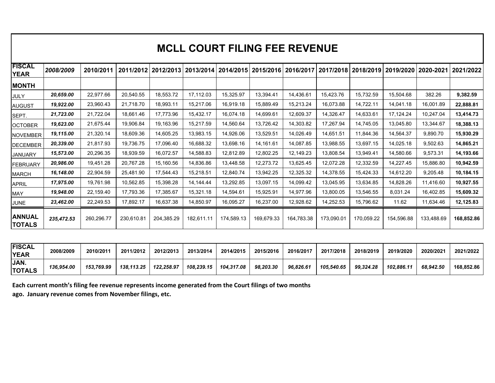|                                      |                        |                        |                        |                        |                        | <b>MCLL COURT FILING FEE REVENUE</b> |                        |                        |                        |                        |                        |                        |                        |
|--------------------------------------|------------------------|------------------------|------------------------|------------------------|------------------------|--------------------------------------|------------------------|------------------------|------------------------|------------------------|------------------------|------------------------|------------------------|
| <b>FISCAL</b><br><b>YEAR</b>         | 2008/2009              | 2010/2011              |                        | 2011/2012 2012/2013    |                        | 2013/2014 2014/2015 2015/2016        |                        | 2016/2017              | 2017/2018              | 2018/2019              |                        | 2019/2020 2020-2021    | 2021/2022              |
| <b>MONTH</b><br><b>JULY</b>          | 20,659.00              | 22,977.66              | 20,540.55              | 18,553.72              | 17,112.03              | 15,325.97                            | 13,394.41              | 14,436.61              | 15,423.76              | 15,732.59              | 15,504.68              | 382.26                 | 9,382.59               |
| <b>AUGUST</b>                        | 19,922.00<br>21,723.00 | 23,960.43<br>21,722.04 | 21,718.70<br>18,661.46 | 18,993.11<br>17,773.96 | 15,217.06<br>15,432.17 | 16,919.18<br>16,074.18               | 15,889.49<br>14,699.61 | 15,213.24<br>12,609.37 | 16,073.88<br>14,326.47 | 14,722.11<br>14,633.61 | 14,041.18<br>17,124.24 | 16,001.89<br>10,247.04 | 22,888.81<br>13,414.73 |
| SEPT.<br><b>OCTOBER</b>              | 19,623.00              | 21,675.44              | 19,906.84              | 19,163.96              | 15,217.59              | 14,560.64                            | 13,726.42              | 14,303.82              | 17,267.94              | 14,745.05              | 13,045.80              | 13,344.67              | 18,388.13              |
| NOVEMBER<br><b>DECEMBER</b>          | 19,115.00<br>20,339.00 | 21,320.14<br>21,817.93 | 18,609.36<br>19,736.75 | 14,605.25<br>17,096.40 | 13,983.15<br>16,688.32 | 14,926.06<br>13,698.16               | 13,529.51<br>14,161.61 | 14,026.49<br>14,087.85 | 14,651.51<br>13,988.55 | 11,844.36<br>13,697.15 | 14,564.37<br>14,025.18 | 9,890.70<br>9,502.63   | 15,930.29<br>14,865.21 |
| <b>JANUARY</b>                       | 15,573.00              | 20,296.35              | 18,939.59              | 16,072.57              | 14,588.83              | 12,812.89                            | 12,802.25              | 12,149.23              | 13,808.54              | 13,949.41              | 14,580.66              | 9,573.31               | 14,193.66              |
| FEBRUARY                             | 20,986.00              | 19,451.28              | 20,767.28              | 15,160.56              | 14,836.86              | 13,448.58                            | 12,273.72              | 13,625.45              | 12,072.28              | 12,332.59              | 14,227.45              | 15,886.80              | 10,942.59              |
| <b>MARCH</b><br><b>APRIL</b>         | 16,148.00<br>17,975.00 | 22,904.59<br>19,761.98 | 25,481.90<br>10,562.85 | 17,544.43<br>15,398.28 | 15,218.51<br>14,144.44 | 12,840.74<br>13,292.85               | 13,942.25<br>13,097.15 | 12,325.32<br>14,099.42 | 14,378.55<br>13,045.95 | 15,424.33<br>13,634.85 | 14,612.20<br>14,828.26 | 9,205.48<br>11,416.60  | 10,184.15<br>10,927.55 |
| MAY                                  | 19,948.00              | 22,159.40              | 17,793.36              | 17,385.67              | 15,321.18              | 14,594.61                            | 15,925.91              | 14,977.96              | 13,800.05              | 13,546.55              | 8,031.24               | 16,402.85              | 15,609.32              |
| <b>JUNE</b>                          | 23,462.00              | 22,249.53              | 17,892.17              | 16,637.38              | 14,850.97              | 16,095.27                            | 16,237.00              | 12,928.62              | 14,252.53              | 15,796.62              | 11.62                  | 11,634.46              | 12,125.83              |
| <b>ANNUAL</b><br><b>TOTALS</b>       | 235,472.53             | 260,296.77             | 230,610.81             | 204,385.29             | 182,611.11             | 174,589.13                           | 169,679.33             | 164,783.38             | 173,090.01             | 170,059.22             | 154,596.88             | 133,488.69             | 168,852.86             |
| <b>FISCAL</b>                        | 2008/2009              | 2010/2011              | 2011/2012              | 2012/2013              | 2013/2014              | 2014/2015                            | 2015/2016              | 2016/2017              | 2017/2018              | 2018/2019              | 2019/2020              | 2020/2021              | 2021/2022              |
| <b>YEAR</b><br>JAN.<br><b>TOTALS</b> | 136,954.00             | 153,769.99             | 138,113.25             | 122,258.97             | 108,239.15             | 104,317.08                           | 98,203.30              | 96,826.61              | 105,540.65             | 99,324.28              | 102,886.11             | 68,942.50              | 168,852.86             |

| <b>FISCAL</b><br><b>YEAR</b>                                                                             | 2008/2009  | 2010/2011  | 2011/2012  | 2012/2013  | 2013/2014  | 2014/2015  | 2015/2016 | 2016/2017 | 2017/2018  | 2018/2019 | 2019/2020  | 2020/2021 | 2021/2022  |
|----------------------------------------------------------------------------------------------------------|------------|------------|------------|------------|------------|------------|-----------|-----------|------------|-----------|------------|-----------|------------|
| JAN.<br><b>TOTALS</b>                                                                                    | 136.954.00 | 153.769.99 | 138.113.25 | 122.258.97 | 108.239.15 | 104.317.08 | 98.203.30 | 96.826.61 | 105.540.65 | 99.324.28 | 102.886.11 | 68.942.50 | 168.852.86 |
| Each current month's filing fee revenue represents income generated from the Court filings of two months |            |            |            |            |            |            |           |           |            |           |            |           |            |

Each current month's filing fee revenue represents income generated from the Court filings of two months **ago. January revenue comes from November filings, etc.** ago. January revenue comes from November filings, etc.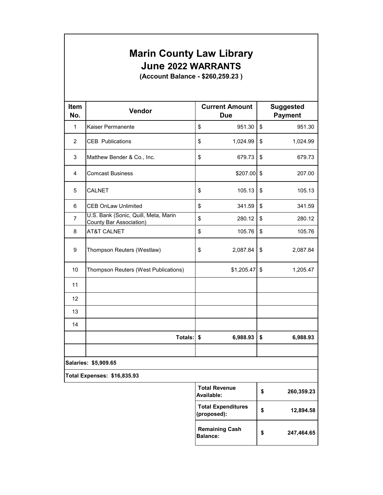# **Marin County Law Library** Marin County Law Library **June 2022 WARRANTS** June 2022 WARRANTS Marin County<br>June 2022<br>(Account Balanc

| <b>Item</b>             | <b>Marin County Law Library</b><br><b>June 2022 WARRANTS</b><br>(Account Balance - \$260,259.23)<br>Vendor | <b>Current Amount</b>                   | <b>Suggested</b>               |
|-------------------------|------------------------------------------------------------------------------------------------------------|-----------------------------------------|--------------------------------|
| No.<br>1                | Kaiser Permanente                                                                                          | Due<br>\$<br>951.30                     | \$<br><b>Payment</b><br>951.30 |
| $\overline{2}$          | <b>CEB</b> Publications                                                                                    | \$<br>1,024.99                          | \$<br>1,024.99                 |
| 3                       | Matthew Bender & Co., Inc.                                                                                 | \$<br>679.73                            | \$<br>679.73                   |
| $\overline{\mathbf{4}}$ | <b>Comcast Business</b>                                                                                    | \$207.00                                | \$<br>207.00                   |
| 5                       | CALNET                                                                                                     | \$<br>105.13                            | \$<br>105.13                   |
| 6                       | <b>CEB OnLaw Unlimited</b>                                                                                 | \$<br>341.59                            | \$<br>341.59                   |
| $\overline{7}$          | U.S. Bank (Sonic, Quill, Meta, Marin<br><b>County Bar Association)</b>                                     | \$<br>280.12                            | \$<br>280.12                   |
| 8                       | AT&T CALNET                                                                                                | \$<br>105.76                            | \$<br>105.76                   |
| 9                       | Thompson Reuters (Westlaw)                                                                                 | \$<br>2,087.84                          | \$<br>2,087.84                 |
| 10                      | Thompson Reuters (West Publications)                                                                       | \$1,205.47                              | \$<br>1,205.47                 |
| 11                      |                                                                                                            |                                         |                                |
| 12                      |                                                                                                            |                                         |                                |
| 13                      |                                                                                                            |                                         |                                |
| 14                      |                                                                                                            |                                         |                                |
|                         | Totals: \$                                                                                                 | 6,988.93                                | \$<br>6,988.93                 |
|                         |                                                                                                            |                                         |                                |
|                         | Salaries: \$5,909.65                                                                                       |                                         |                                |
|                         | <b>Total Expenses: \$16,835.93</b>                                                                         | <b>Total Revenue</b>                    | \$<br>260,359.23               |
|                         |                                                                                                            | Available:<br><b>Total Expenditures</b> | \$<br>12,894.58                |
|                         |                                                                                                            | (proposed):<br><b>Remaining Cash</b>    | \$<br>247,464.65               |
|                         |                                                                                                            | <b>Balance:</b>                         |                                |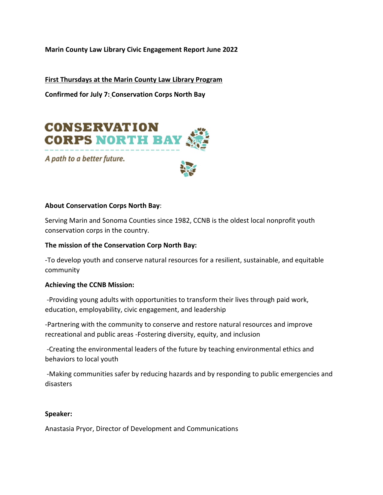**Marin County Law Library Civic Engagement Report June 2022**  Marin County Law Library Civic Engagement Report June 2022 Marin County Law Library Civic Engagement Report June<br>First Thursdays at the Marin County Law Library Program

**First Thursdays at the Marin County Law Library Program** 

**Confirmed for July 7: Conservation Corps North Bay**  Confirmed for July 7: Conservation Corps North Bay



A path to a better future.



#### **About Conservation Corps North Bay**: About Conservation Corps North Bay:

Serving Marin and Sonoma Counties since 1982, CCNB is the oldest local nonprofit youth Serving Marin and Sonoma Counties since 1982, CCNB is the oldest local nonprofit youth conservation corps in the country. conservation corps in the country.

#### **The mission of the Conservation Corp North Bay:**  The mission of the Conservation Corp North Bay:

-To develop youth and conserve natural resources for a resilient, sustainable, and equitable -To develop youth and conserve natural resources for a resilient, sustainable, and equitable community community

#### **Achieving the CCNB Mission:**  Achieving the CCNB Mission:

 -Providing young adults with opportunities to transform their lives through paid work, -Providing young adults with opportunities to transform their lives through paid work, education, employability, civic engagement, and leadership education, employability, civic engagement, and leadership

-Partnering with the community to conserve and restore natural resources and improve -Partnering with the community to conserve and restore natural resources and improve recreational and public areas -Fostering diversity, equity, and inclusion recreational and public areas -Fostering diversity, equity, and inclusion

 -Creating the environmental leaders of the future by teaching environmental ethics and -Creating the environmental leaders of the future by teaching environmental ethics and behaviors to local youth behaviors to local youth

 -Making communities safer by reducing hazards and by responding to public emergencies and -Making communities safer by reducing hazards and by responding to public emergencies and disasters disasters

#### **Speaker:**  Speaker:

Anastasia Pryor, Director of Development and Communications Anastasia Pryor, Director of Development and Communications